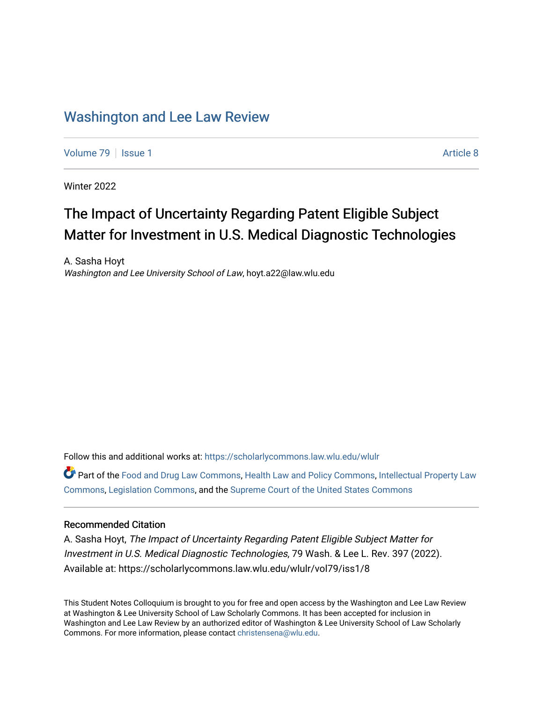# [Washington and Lee Law Review](https://scholarlycommons.law.wlu.edu/wlulr)

[Volume 79](https://scholarlycommons.law.wlu.edu/wlulr/vol79) | [Issue 1](https://scholarlycommons.law.wlu.edu/wlulr/vol79/iss1) Article 8

Winter 2022

# The Impact of Uncertainty Regarding Patent Eligible Subject Matter for Investment in U.S. Medical Diagnostic Technologies

A. Sasha Hoyt Washington and Lee University School of Law, hoyt.a22@law.wlu.edu

Follow this and additional works at: [https://scholarlycommons.law.wlu.edu/wlulr](https://scholarlycommons.law.wlu.edu/wlulr?utm_source=scholarlycommons.law.wlu.edu%2Fwlulr%2Fvol79%2Fiss1%2F8&utm_medium=PDF&utm_campaign=PDFCoverPages) 

Part of the [Food and Drug Law Commons,](http://network.bepress.com/hgg/discipline/844?utm_source=scholarlycommons.law.wlu.edu%2Fwlulr%2Fvol79%2Fiss1%2F8&utm_medium=PDF&utm_campaign=PDFCoverPages) [Health Law and Policy Commons,](http://network.bepress.com/hgg/discipline/901?utm_source=scholarlycommons.law.wlu.edu%2Fwlulr%2Fvol79%2Fiss1%2F8&utm_medium=PDF&utm_campaign=PDFCoverPages) [Intellectual Property Law](http://network.bepress.com/hgg/discipline/896?utm_source=scholarlycommons.law.wlu.edu%2Fwlulr%2Fvol79%2Fiss1%2F8&utm_medium=PDF&utm_campaign=PDFCoverPages) [Commons](http://network.bepress.com/hgg/discipline/896?utm_source=scholarlycommons.law.wlu.edu%2Fwlulr%2Fvol79%2Fiss1%2F8&utm_medium=PDF&utm_campaign=PDFCoverPages), [Legislation Commons,](http://network.bepress.com/hgg/discipline/859?utm_source=scholarlycommons.law.wlu.edu%2Fwlulr%2Fvol79%2Fiss1%2F8&utm_medium=PDF&utm_campaign=PDFCoverPages) and the [Supreme Court of the United States Commons](http://network.bepress.com/hgg/discipline/1350?utm_source=scholarlycommons.law.wlu.edu%2Fwlulr%2Fvol79%2Fiss1%2F8&utm_medium=PDF&utm_campaign=PDFCoverPages)

# Recommended Citation

A. Sasha Hoyt, The Impact of Uncertainty Regarding Patent Eligible Subject Matter for Investment in U.S. Medical Diagnostic Technologies, 79 Wash. & Lee L. Rev. 397 (2022). Available at: https://scholarlycommons.law.wlu.edu/wlulr/vol79/iss1/8

This Student Notes Colloquium is brought to you for free and open access by the Washington and Lee Law Review at Washington & Lee University School of Law Scholarly Commons. It has been accepted for inclusion in Washington and Lee Law Review by an authorized editor of Washington & Lee University School of Law Scholarly Commons. For more information, please contact [christensena@wlu.edu.](mailto:christensena@wlu.edu)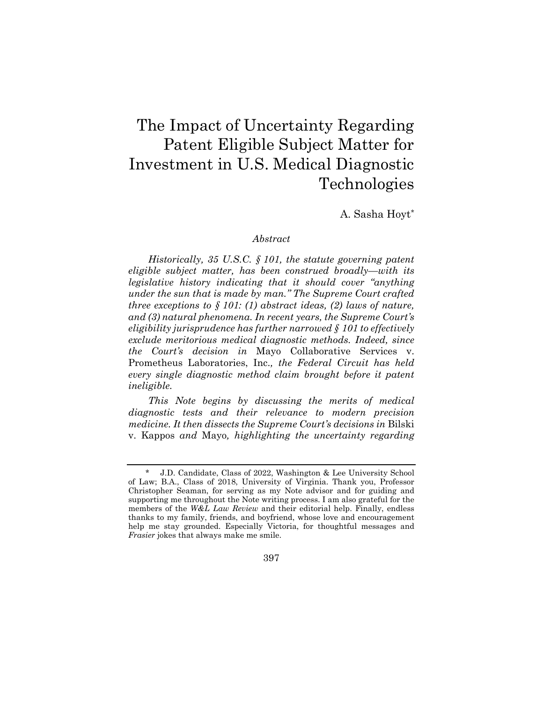# The Impact of Uncertainty Regarding Patent Eligible Subject Matter for Investment in U.S. Medical Diagnostic Technologies

A. Sasha Hoyt\*

## *Abstract*

*Historically, 35 U.S.C. § 101, the statute governing patent eligible subject matter, has been construed broadly—with its legislative history indicating that it should cover "anything under the sun that is made by man." The Supreme Court crafted three exceptions to § 101: (1) abstract ideas, (2) laws of nature, and (3) natural phenomena. In recent years, the Supreme Court's eligibility jurisprudence has further narrowed § 101 to effectively exclude meritorious medical diagnostic methods. Indeed, since the Court's decision in* Mayo Collaborative Services v. Prometheus Laboratories, Inc.*, the Federal Circuit has held every single diagnostic method claim brought before it patent ineligible.* 

*This Note begins by discussing the merits of medical diagnostic tests and their relevance to modern precision medicine. It then dissects the Supreme Court's decisions in* Bilski v. Kappos *and* Mayo*, highlighting the uncertainty regarding* 

J.D. Candidate, Class of 2022, Washington & Lee University School of Law; B.A., Class of 2018, University of Virginia. Thank you, Professor Christopher Seaman, for serving as my Note advisor and for guiding and supporting me throughout the Note writing process. I am also grateful for the members of the *W&L Law Review* and their editorial help. Finally, endless thanks to my family, friends, and boyfriend, whose love and encouragement help me stay grounded. Especially Victoria, for thoughtful messages and *Frasier* jokes that always make me smile.

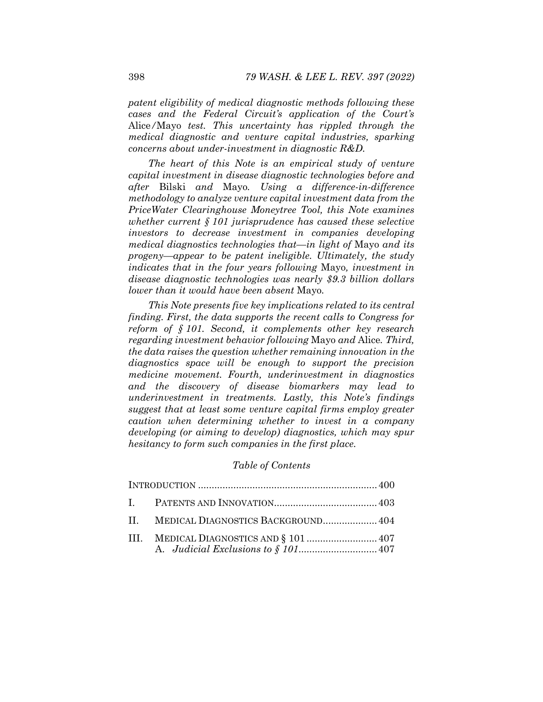*patent eligibility of medical diagnostic methods following these cases and the Federal Circuit's application of the Court's*  Alice*/*Mayo *test. This uncertainty has rippled through the medical diagnostic and venture capital industries, sparking concerns about under-investment in diagnostic R&D.* 

*The heart of this Note is an empirical study of venture capital investment in disease diagnostic technologies before and after* Bilski *and* Mayo*. Using a difference-in-difference methodology to analyze venture capital investment data from the PriceWater Clearinghouse Moneytree Tool, this Note examines whether current § 101 jurisprudence has caused these selective investors to decrease investment in companies developing medical diagnostics technologies that—in light of* Mayo *and its progeny—appear to be patent ineligible. Ultimately, the study indicates that in the four years following* Mayo*, investment in disease diagnostic technologies was nearly \$9.3 billion dollars lower than it would have been absent* Mayo*.* 

*This Note presents five key implications related to its central finding. First, the data supports the recent calls to Congress for reform of § 101. Second, it complements other key research regarding investment behavior following* Mayo *and* Alice*. Third, the data raises the question whether remaining innovation in the diagnostics space will be enough to support the precision medicine movement. Fourth, underinvestment in diagnostics and the discovery of disease biomarkers may lead to underinvestment in treatments. Lastly, this Note's findings suggest that at least some venture capital firms employ greater caution when determining whether to invest in a company developing (or aiming to develop) diagnostics, which may spur hesitancy to form such companies in the first place.* 

#### *Table of Contents*

|  | II. MEDICAL DIAGNOSTICS BACKGROUND 404 |  |
|--|----------------------------------------|--|
|  |                                        |  |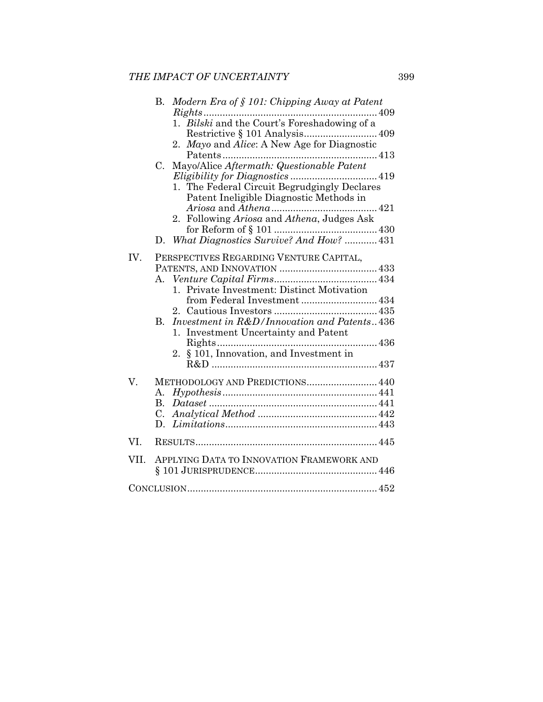|      | Modern Era of $\S$ 101: Chipping Away at Patent<br>В.                                                                                                                                                                                                                                            |
|------|--------------------------------------------------------------------------------------------------------------------------------------------------------------------------------------------------------------------------------------------------------------------------------------------------|
|      | 1. Bilski and the Court's Foreshadowing of a<br>2. Mayo and Alice: A New Age for Diagnostic<br>Mayo/Alice Aftermath: Questionable Patent<br>$C_{\cdot}$<br>1. The Federal Circuit Begrudgingly Declares<br>Patent Ineligible Diagnostic Methods in<br>2. Following Ariosa and Athena, Judges Ask |
|      |                                                                                                                                                                                                                                                                                                  |
|      | D. What Diagnostics Survive? And How?  431                                                                                                                                                                                                                                                       |
| IV.  | PERSPECTIVES REGARDING VENTURE CAPITAL,<br>1. Private Investment: Distinct Motivation<br>from Federal Investment 434<br>Investment in R&D/Innovation and Patents436<br>В.<br>1. Investment Uncertainty and Patent<br>2. § 101, Innovation, and Investment in                                     |
| V.   | METHODOLOGY AND PREDICTIONS 440<br>А.<br>B <sub>1</sub><br>$C_{\cdot}$<br>D.                                                                                                                                                                                                                     |
| VI.  |                                                                                                                                                                                                                                                                                                  |
| VII. | APPLYING DATA TO INNOVATION FRAMEWORK AND                                                                                                                                                                                                                                                        |
|      |                                                                                                                                                                                                                                                                                                  |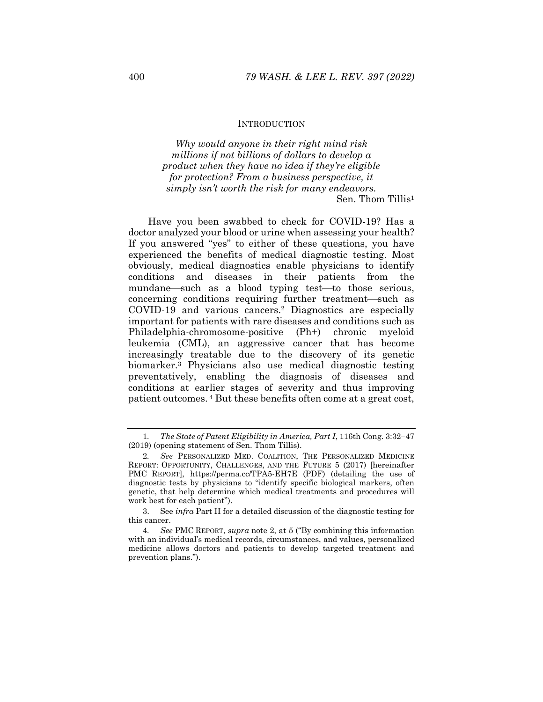#### **INTRODUCTION**

*Why would anyone in their right mind risk millions if not billions of dollars to develop a product when they have no idea if they're eligible for protection? From a business perspective, it simply isn't worth the risk for many endeavors.*  Sen. Thom Tillis1

Have you been swabbed to check for COVID-19? Has a doctor analyzed your blood or urine when assessing your health? If you answered "yes" to either of these questions, you have experienced the benefits of medical diagnostic testing. Most obviously, medical diagnostics enable physicians to identify conditions and diseases in their patients from the mundane—such as a blood typing test—to those serious, concerning conditions requiring further treatment—such as COVID-19 and various cancers.2 Diagnostics are especially important for patients with rare diseases and conditions such as Philadelphia-chromosome-positive (Ph+) chronic myeloid leukemia (CML), an aggressive cancer that has become increasingly treatable due to the discovery of its genetic biomarker.3 Physicians also use medical diagnostic testing preventatively, enabling the diagnosis of diseases and conditions at earlier stages of severity and thus improving patient outcomes. 4 But these benefits often come at a great cost,

<sup>1.</sup> The State of Patent Eligibility in America, Part I, 116th Cong. 3:32–47 (2019) (opening statement of Sen. Thom Tillis).

<sup>2</sup>*. See* PERSONALIZED MED. COALITION, THE PERSONALIZED MEDICINE REPORT: OPPORTUNITY, CHALLENGES, AND THE FUTURE 5 (2017) [hereinafter PMC REPORT], https://perma.cc/TPA5-EH7E (PDF) (detailing the use of diagnostic tests by physicians to "identify specific biological markers, often genetic, that help determine which medical treatments and procedures will work best for each patient").

 <sup>3.</sup> See *infra* Part II for a detailed discussion of the diagnostic testing for this cancer.

<sup>4</sup>*. See* PMC REPORT, *supra* note 2, at 5 ("By combining this information with an individual's medical records, circumstances, and values, personalized medicine allows doctors and patients to develop targeted treatment and prevention plans.").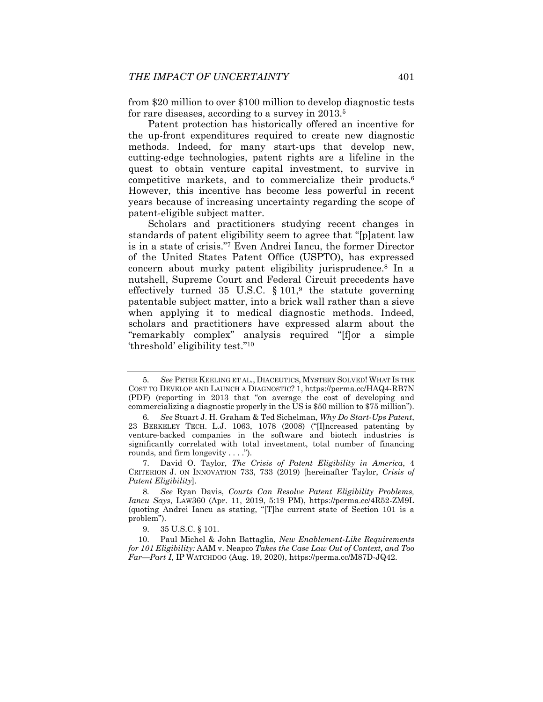from \$20 million to over \$100 million to develop diagnostic tests for rare diseases, according to a survey in 2013.<sup>5</sup>

Patent protection has historically offered an incentive for the up-front expenditures required to create new diagnostic methods. Indeed, for many start-ups that develop new, cutting-edge technologies, patent rights are a lifeline in the quest to obtain venture capital investment, to survive in competitive markets, and to commercialize their products.6 However, this incentive has become less powerful in recent years because of increasing uncertainty regarding the scope of patent-eligible subject matter.

Scholars and practitioners studying recent changes in standards of patent eligibility seem to agree that "[p]atent law is in a state of crisis."7 Even Andrei Iancu, the former Director of the United States Patent Office (USPTO), has expressed concern about murky patent eligibility jurisprudence.8 In a nutshell, Supreme Court and Federal Circuit precedents have effectively turned 35 U.S.C.  $\S 101$ ,<sup>9</sup> the statute governing patentable subject matter, into a brick wall rather than a sieve when applying it to medical diagnostic methods. Indeed, scholars and practitioners have expressed alarm about the "remarkably complex" analysis required "[f]or a simple 'threshold' eligibility test."10

<sup>5</sup>*. See* PETER KEELING ET AL., DIACEUTICS, MYSTERY SOLVED! WHAT IS THE COST TO DEVELOP AND LAUNCH A DIAGNOSTIC? 1, https://perma.cc/HAQ4-RB7N (PDF) (reporting in 2013 that "on average the cost of developing and commercializing a diagnostic properly in the US is \$50 million to \$75 million").

<sup>6</sup>*. See* Stuart J. H. Graham & Ted Sichelman, *Why Do Start-Ups Patent*, 23 BERKELEY TECH. L.J. 1063, 1078 (2008) ("[I]ncreased patenting by venture-backed companies in the software and biotech industries is significantly correlated with total investment, total number of financing rounds, and firm longevity . . . .").

 <sup>7.</sup> David O. Taylor, *The Crisis of Patent Eligibility in America*, 4 CRITERION J. ON INNOVATION 733, 733 (2019) [hereinafter Taylor, *Crisis of Patent Eligibility*].

<sup>8</sup>*. See* Ryan Davis, *Courts Can Resolve Patent Eligibility Problems, Iancu Says*, LAW360 (Apr. 11, 2019, 5:19 PM), https://perma.cc/4R52-ZM9L (quoting Andrei Iancu as stating, "[T]he current state of Section 101 is a problem").

 <sup>9. 35</sup> U.S.C. § 101.

 <sup>10.</sup> Paul Michel & John Battaglia, *New Enablement-Like Requirements for 101 Eligibility:* AAM v. Neapco *Takes the Case Law Out of Context, and Too Far—Part I*, IP WATCHDOG (Aug. 19, 2020), https://perma.cc/M87D-JQ42.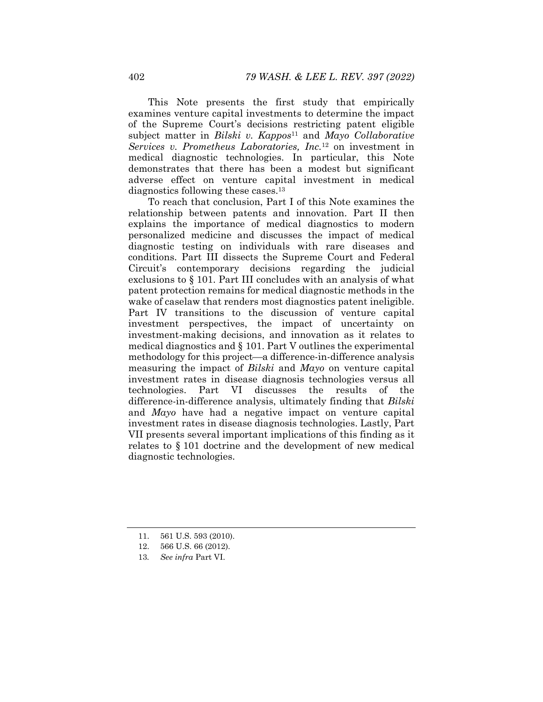This Note presents the first study that empirically examines venture capital investments to determine the impact of the Supreme Court's decisions restricting patent eligible subject matter in *Bilski v. Kappos*<sup>11</sup> and *Mayo Collaborative Services v. Prometheus Laboratories, Inc.*12 on investment in medical diagnostic technologies. In particular, this Note demonstrates that there has been a modest but significant adverse effect on venture capital investment in medical diagnostics following these cases.13

To reach that conclusion, Part I of this Note examines the relationship between patents and innovation. Part II then explains the importance of medical diagnostics to modern personalized medicine and discusses the impact of medical diagnostic testing on individuals with rare diseases and conditions. Part III dissects the Supreme Court and Federal Circuit's contemporary decisions regarding the judicial exclusions to § 101. Part III concludes with an analysis of what patent protection remains for medical diagnostic methods in the wake of caselaw that renders most diagnostics patent ineligible. Part IV transitions to the discussion of venture capital investment perspectives, the impact of uncertainty on investment-making decisions, and innovation as it relates to medical diagnostics and § 101. Part V outlines the experimental methodology for this project—a difference-in-difference analysis measuring the impact of *Bilski* and *Mayo* on venture capital investment rates in disease diagnosis technologies versus all technologies. Part VI discusses the results of the difference-in-difference analysis, ultimately finding that *Bilski* and *Mayo* have had a negative impact on venture capital investment rates in disease diagnosis technologies. Lastly, Part VII presents several important implications of this finding as it relates to § 101 doctrine and the development of new medical diagnostic technologies.

 <sup>11. 561</sup> U.S. 593 (2010).

 <sup>12. 566</sup> U.S. 66 (2012).

<sup>13</sup>*. See infra* Part VI.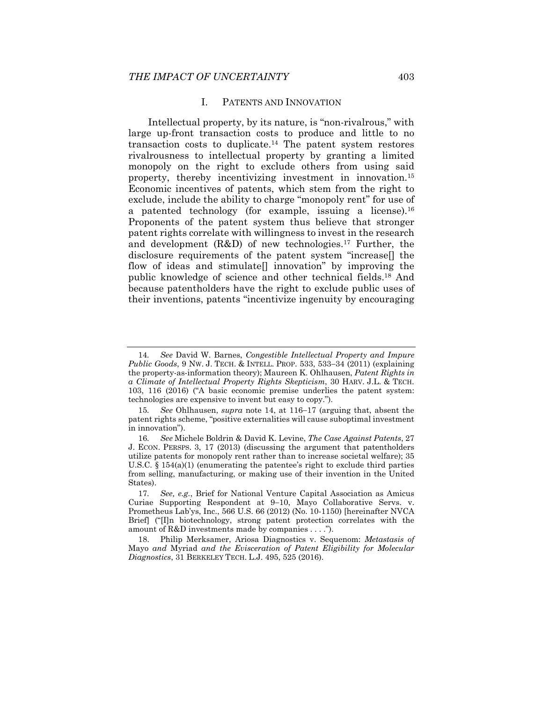#### I. PATENTS AND INNOVATION

Intellectual property, by its nature, is "non-rivalrous," with large up-front transaction costs to produce and little to no transaction costs to duplicate.14 The patent system restores rivalrousness to intellectual property by granting a limited monopoly on the right to exclude others from using said property, thereby incentivizing investment in innovation.15 Economic incentives of patents, which stem from the right to exclude, include the ability to charge "monopoly rent" for use of a patented technology (for example, issuing a license).16 Proponents of the patent system thus believe that stronger patent rights correlate with willingness to invest in the research and development (R&D) of new technologies.17 Further, the disclosure requirements of the patent system "increase[] the flow of ideas and stimulate[] innovation" by improving the public knowledge of science and other technical fields.18 And because patentholders have the right to exclude public uses of their inventions, patents "incentivize ingenuity by encouraging

<sup>14</sup>*. See* David W. Barnes, *Congestible Intellectual Property and Impure Public Goods*, 9 Nw. J. TECH. & INTELL. PROP. 533, 533–34 (2011) (explaining the property-as-information theory); Maureen K. Ohlhausen, *Patent Rights in a Climate of Intellectual Property Rights Skepticism*, 30 HARV. J.L. & TECH. 103, 116 (2016) ("A basic economic premise underlies the patent system: technologies are expensive to invent but easy to copy.").

<sup>15.</sup> See Ohlhausen, *supra* note 14, at 116-17 (arguing that, absent the patent rights scheme, "positive externalities will cause suboptimal investment in innovation").

<sup>16</sup>*. See* Michele Boldrin & David K. Levine, *The Case Against Patents*, 27 J. ECON. PERSPS. 3, 17 (2013) (discussing the argument that patentholders utilize patents for monopoly rent rather than to increase societal welfare); 35 U.S.C. § 154(a)(1) (enumerating the patentee's right to exclude third parties from selling, manufacturing, or making use of their invention in the United States).

<sup>17</sup>*. See, e.g.*, Brief for National Venture Capital Association as Amicus Curiae Supporting Respondent at 9-10, Mayo Collaborative Servs. v. Prometheus Lab'ys, Inc., 566 U.S. 66 (2012) (No. 10-1150) [hereinafter NVCA Brief] ("[I]n biotechnology, strong patent protection correlates with the amount of R&D investments made by companies . . . .").

 <sup>18.</sup> Philip Merksamer, Ariosa Diagnostics v. Sequenom: *Metastasis of*  Mayo *and* Myriad *and the Evisceration of Patent Eligibility for Molecular Diagnostics*, 31 BERKELEY TECH. L.J. 495, 525 (2016).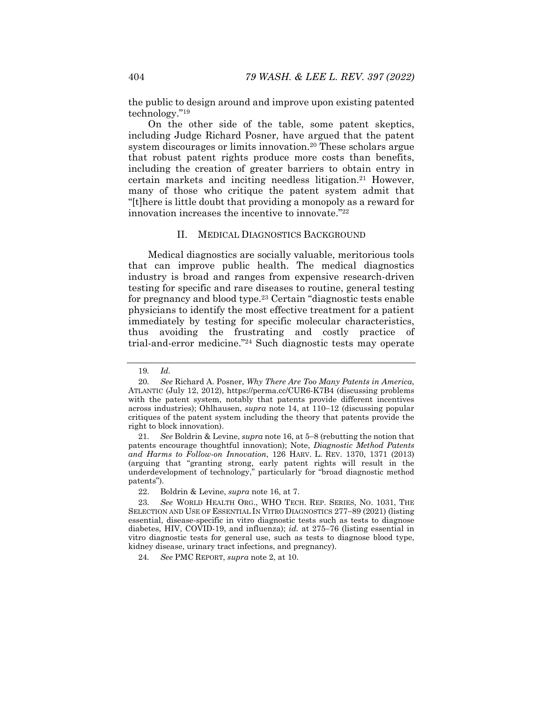the public to design around and improve upon existing patented technology."19

On the other side of the table, some patent skeptics, including Judge Richard Posner, have argued that the patent system discourages or limits innovation.<sup>20</sup> These scholars argue that robust patent rights produce more costs than benefits, including the creation of greater barriers to obtain entry in certain markets and inciting needless litigation.21 However, many of those who critique the patent system admit that "[t]here is little doubt that providing a monopoly as a reward for innovation increases the incentive to innovate."22

#### II. MEDICAL DIAGNOSTICS BACKGROUND

Medical diagnostics are socially valuable, meritorious tools that can improve public health. The medical diagnostics industry is broad and ranges from expensive research-driven testing for specific and rare diseases to routine, general testing for pregnancy and blood type.23 Certain "diagnostic tests enable physicians to identify the most effective treatment for a patient immediately by testing for specific molecular characteristics, thus avoiding the frustrating and costly practice of trial-and-error medicine."24 Such diagnostic tests may operate

<sup>19</sup>*. Id.*

<sup>20</sup>*. See* Richard A. Posner, *Why There Are Too Many Patents in America*, ATLANTIC (July 12, 2012), https://perma.cc/CUR6-K7B4 (discussing problems with the patent system, notably that patents provide different incentives across industries); Ohlhausen, *supra* note 14, at 110-12 (discussing popular critiques of the patent system including the theory that patents provide the right to block innovation).

<sup>21.</sup> See Boldrin & Levine, *supra* note 16, at 5-8 (rebutting the notion that patents encourage thoughtful innovation); Note, *Diagnostic Method Patents and Harms to Follow-on Innovation*, 126 HARV. L. REV. 1370, 1371 (2013) (arguing that "granting strong, early patent rights will result in the underdevelopment of technology," particularly for "broad diagnostic method patents").

 <sup>22.</sup> Boldrin & Levine, *supra* note 16, at 7.

<sup>23</sup>*. See* WORLD HEALTH ORG., WHO TECH. REP. SERIES, NO. 1031, THE SELECTION AND USE OF ESSENTIAL IN VITRO DIAGNOSTICS 277-89 (2021) (listing essential, disease-specific in vitro diagnostic tests such as tests to diagnose diabetes, HIV, COVID-19, and influenza);  $id$ , at  $275-76$  (listing essential in vitro diagnostic tests for general use, such as tests to diagnose blood type, kidney disease, urinary tract infections, and pregnancy).

<sup>24</sup>*. See* PMC REPORT, *supra* note 2, at 10.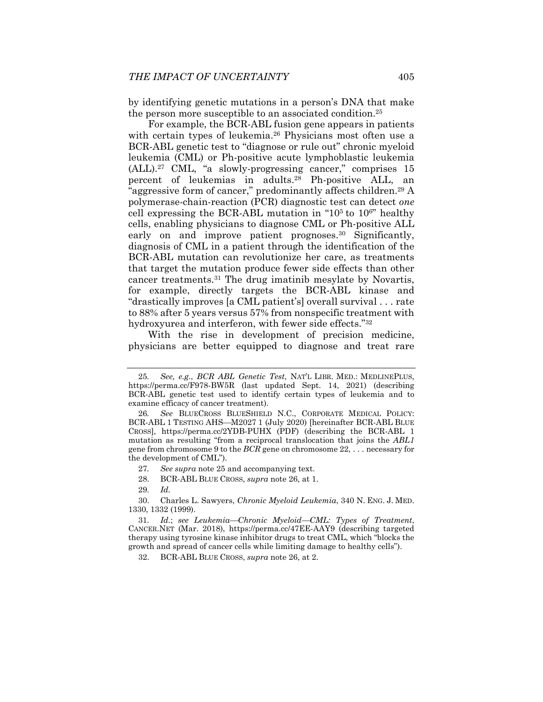by identifying genetic mutations in a person's DNA that make the person more susceptible to an associated condition.25

For example, the BCR-ABL fusion gene appears in patients with certain types of leukemia.26 Physicians most often use a BCR-ABL genetic test to "diagnose or rule out" chronic myeloid leukemia (CML) or Ph-positive acute lymphoblastic leukemia (ALL).27 CML, "a slowly-progressing cancer," comprises 15 percent of leukemias in adults.28 Ph-positive ALL, an <sup>"</sup>aggressive form of cancer," predominantly affects children.<sup>29</sup> A polymerase-chain-reaction (PCR) diagnostic test can detect *one*  cell expressing the BCR-ABL mutation in " $10<sup>5</sup>$  to  $10<sup>6</sup>$ " healthy cells, enabling physicians to diagnose CML or Ph-positive ALL early on and improve patient prognoses.<sup>30</sup> Significantly, diagnosis of CML in a patient through the identification of the BCR-ABL mutation can revolutionize her care, as treatments that target the mutation produce fewer side effects than other cancer treatments.31 The drug imatinib mesylate by Novartis, for example, directly targets the BCR-ABL kinase and "drastically improves [a CML patient's] overall survival . . . rate to 88% after 5 years versus 57% from nonspecific treatment with hydroxyurea and interferon, with fewer side effects."32

With the rise in development of precision medicine, physicians are better equipped to diagnose and treat rare

29*. Id.*

32. BCR-ABL BLUE CROSS, *supra* note 26, at 2.

<sup>25</sup>*. See, e.g.*, *BCR ABL Genetic Test*, NAT'L LIBR. MED.: MEDLINEPLUS, https://perma.cc/F978-BW5R (last updated Sept. 14, 2021) (describing BCR-ABL genetic test used to identify certain types of leukemia and to examine efficacy of cancer treatment).

<sup>26</sup>*. See* BLUECROSS BLUESHIELD N.C., CORPORATE MEDICAL POLICY: BCR-ABL 1 TESTING AHS-M2027 1 (July 2020) [hereinafter BCR-ABL BLUE CROSS], https://perma.cc/2YDB-PUHX (PDF) (describing the BCR-ABL 1 mutation as resulting "from a reciprocal translocation that joins the *ABL1* gene from chromosome 9 to the *BCR* gene on chromosome 22, . . . necessary for the development of CML").

<sup>27</sup>*. See supra* note 25 and accompanying text.

 <sup>28.</sup> BCR-ABL BLUE CROSS, *supra* note 26, at 1.

 <sup>30.</sup> Charles L. Sawyers, *Chronic Myeloid Leukemia*, 340 N. ENG. J. MED. 1330, 1332 (1999).

<sup>31</sup>*. Id.*; *see LeukemiaChronic MyeloidCML: Types of Treatment*, CANCER.NET (Mar. 2018), https://perma.cc/47EE-AAY9 (describing targeted therapy using tyrosine kinase inhibitor drugs to treat CML, which "blocks the growth and spread of cancer cells while limiting damage to healthy cells").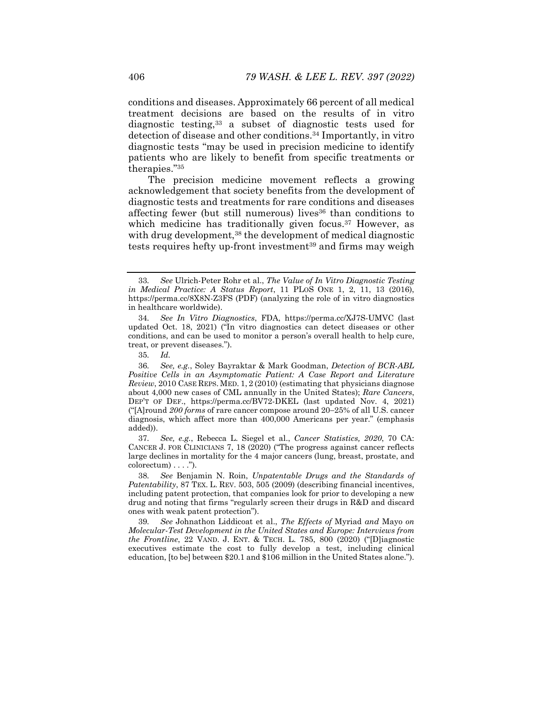conditions and diseases. Approximately 66 percent of all medical treatment decisions are based on the results of in vitro diagnostic testing,33 a subset of diagnostic tests used for detection of disease and other conditions.34 Importantly, in vitro diagnostic tests "may be used in precision medicine to identify patients who are likely to benefit from specific treatments or therapies."35

The precision medicine movement reflects a growing acknowledgement that society benefits from the development of diagnostic tests and treatments for rare conditions and diseases affecting fewer (but still numerous) lives<sup>36</sup> than conditions to which medicine has traditionally given focus.<sup>37</sup> However, as with drug development,<sup>38</sup> the development of medical diagnostic tests requires hefty up-front investment<sup>39</sup> and firms may weigh

37*. See, e.g.*, Rebecca L. Siegel et al., *Cancer Statistics, 2020*, 70 CA: CANCER J. FOR CLINICIANS 7, 18 (2020) ("The progress against cancer reflects large declines in mortality for the 4 major cancers (lung, breast, prostate, and  $colorectum) \ldots$ ").

39*. See* Johnathon Liddicoat et al., *The Effects of* Myriad *and* Mayo *on Molecular-Test Development in the United States and Europe: Interviews from the Frontline*, 22 VAND. J. ENT. & TECH. L. 785, 800 (2020) ("[D]iagnostic executives estimate the cost to fully develop a test, including clinical education, [to be] between \$20.1 and \$106 million in the United States alone.").

<sup>33</sup>*. See* Ulrich-Peter Rohr et al., *The Value of In Vitro Diagnostic Testing in Medical Practice: A Status Report*, 11 PLOS ONE 1, 2, 11, 13 (2016), https://perma.cc/8X8N-Z3FS (PDF) (analyzing the role of in vitro diagnostics in healthcare worldwide).

<sup>34</sup>*. See In Vitro Diagnostics*, FDA, https://perma.cc/XJ7S-UMVC (last updated Oct. 18, 2021) ("In vitro diagnostics can detect diseases or other conditions, and can be used to monitor a person's overall health to help cure, treat, or prevent diseases.").

<sup>35</sup>*. Id.*

<sup>36</sup>*. See, e.g.*, Soley Bayraktar & Mark Goodman, *Detection of BCR-ABL Positive Cells in an Asymptomatic Patient: A Case Report and Literature Review*, 2010 CASE REPS. MED. 1, 2 (2010) (estimating that physicians diagnose about 4,000 new cases of CML annually in the United States); *Rare Cancers*, DEP'T OF DEF., https://perma.cc/BV72-DKEL (last updated Nov. 4, 2021) ("[A]round 200 forms of rare cancer compose around 20-25% of all U.S. cancer diagnosis, which affect more than 400,000 Americans per year." (emphasis added)).

<sup>38</sup>*. See* Benjamin N. Roin, *Unpatentable Drugs and the Standards of Patentability*, 87 TEX. L. REV. 503, 505 (2009) (describing financial incentives, including patent protection, that companies look for prior to developing a new drug and noting that firms "regularly screen their drugs in R&D and discard ones with weak patent protection").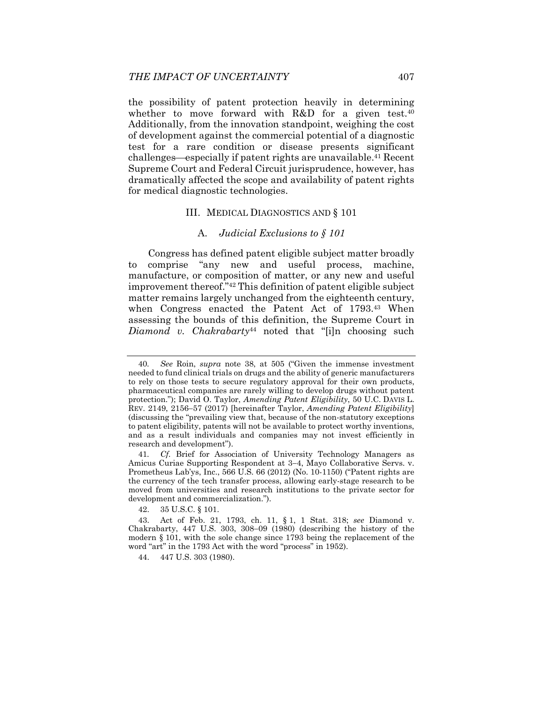the possibility of patent protection heavily in determining whether to move forward with R&D for a given test.<sup>40</sup> Additionally, from the innovation standpoint, weighing the cost of development against the commercial potential of a diagnostic test for a rare condition or disease presents significant challenges—especially if patent rights are unavailable.<sup>41</sup> Recent Supreme Court and Federal Circuit jurisprudence, however, has dramatically affected the scope and availability of patent rights for medical diagnostic technologies.

#### III. MEDICAL DIAGNOSTICS AND § 101

# A. *Judicial Exclusions to § 101*

Congress has defined patent eligible subject matter broadly to comprise "any new and useful process, machine, manufacture, or composition of matter, or any new and useful improvement thereof."42 This definition of patent eligible subject matter remains largely unchanged from the eighteenth century, when Congress enacted the Patent Act of 1793.<sup>43</sup> When assessing the bounds of this definition, the Supreme Court in *Diamond v. Chakrabarty*<sup>44</sup> noted that "[i]n choosing such

42. 35 U.S.C. § 101.

44. 447 U.S. 303 (1980).

<sup>40</sup>*. See* Roin, *supra* note 38, at 505 ("Given the immense investment needed to fund clinical trials on drugs and the ability of generic manufacturers to rely on those tests to secure regulatory approval for their own products, pharmaceutical companies are rarely willing to develop drugs without patent protection."); David O. Taylor, *Amending Patent Eligibility*, 50 U.C. DAVIS L. REV. 2149, 2156-57 (2017) [hereinafter Taylor, *Amending Patent Eligibility*] (discussing the "prevailing view that, because of the non-statutory exceptions to patent eligibility, patents will not be available to protect worthy inventions, and as a result individuals and companies may not invest efficiently in research and development").

<sup>41</sup>*. Cf.* Brief for Association of University Technology Managers as Amicus Curiae Supporting Respondent at 3–4, Mayo Collaborative Servs. v. Prometheus Lab'ys, Inc., 566 U.S. 66 (2012) (No. 10-1150) ("Patent rights are the currency of the tech transfer process, allowing early-stage research to be moved from universities and research institutions to the private sector for development and commercialization.").

 <sup>43.</sup> Act of Feb. 21, 1793, ch. 11, § 1, 1 Stat. 318; *see* Diamond v. Chakrabarty,  $447$  U.S.  $303$ ,  $308-09$  (1980) (describing the history of the modern § 101, with the sole change since 1793 being the replacement of the word "art" in the 1793 Act with the word "process" in 1952).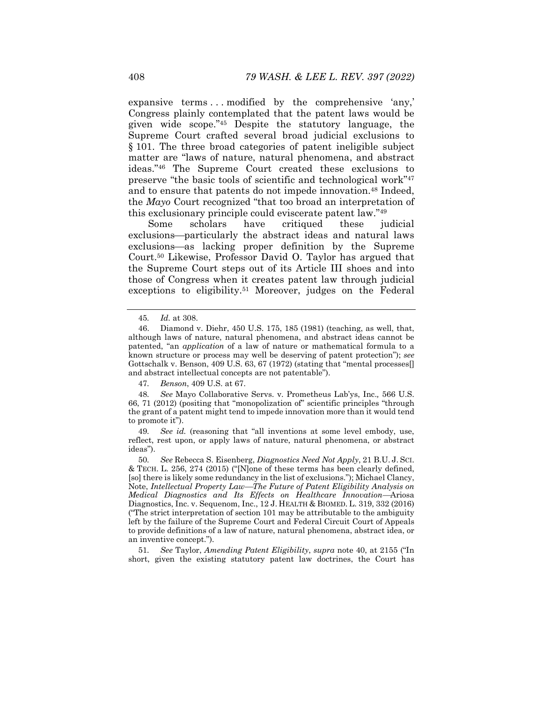expansive terms . . . modified by the comprehensive 'any,' Congress plainly contemplated that the patent laws would be given wide scope."45 Despite the statutory language, the Supreme Court crafted several broad judicial exclusions to § 101. The three broad categories of patent ineligible subject matter are "laws of nature, natural phenomena, and abstract ideas."46 The Supreme Court created these exclusions to preserve "the basic tools of scientific and technological work"47 and to ensure that patents do not impede innovation.<sup>48</sup> Indeed, the *Mayo* Court recognized "that too broad an interpretation of this exclusionary principle could eviscerate patent law."49

Some scholars have critiqued these judicial exclusions—particularly the abstract ideas and natural laws exclusions—as lacking proper definition by the Supreme Court.50 Likewise, Professor David O. Taylor has argued that the Supreme Court steps out of its Article III shoes and into those of Congress when it creates patent law through judicial exceptions to eligibility.<sup>51</sup> Moreover, judges on the Federal

47*. Benson*, 409 U.S. at 67.

48*. See* Mayo Collaborative Servs. v. Prometheus Lab'ys, Inc.*,* 566 U.S. 66, 71 (2012) (positing that "monopolization of" scientific principles "through the grant of a patent might tend to impede innovation more than it would tend to promote it").

49*. See id.* (reasoning that "all inventions at some level embody, use, reflect, rest upon, or apply laws of nature, natural phenomena, or abstract ideas").

50*. See* Rebecca S. Eisenberg, *Diagnostics Need Not Apply*, 21 B.U. J. SCI. & TECH. L. 256, 274 (2015) ("[N]one of these terms has been clearly defined, [so] there is likely some redundancy in the list of exclusions."); Michael Clancy, Note, *Intellectual Property LawThe Future of Patent Eligibility Analysis on Medical Diagnostics and Its Effects on Healthcare Innovation*Ariosa Diagnostics, Inc. v. Sequenom, Inc., 12 J. HEALTH & BIOMED. L. 319, 332 (2016) ("The strict interpretation of section 101 may be attributable to the ambiguity left by the failure of the Supreme Court and Federal Circuit Court of Appeals to provide definitions of a law of nature, natural phenomena, abstract idea, or an inventive concept.").

51*. See* Taylor, *Amending Patent Eligibility*, *supra* note 40, at 2155 ("In short, given the existing statutory patent law doctrines, the Court has

<sup>45</sup>*. Id.* at 308.

 <sup>46.</sup> Diamond v. Diehr, 450 U.S. 175, 185 (1981) (teaching, as well, that, although laws of nature, natural phenomena, and abstract ideas cannot be patented, "an *application* of a law of nature or mathematical formula to a known structure or process may well be deserving of patent protection"); *see* Gottschalk v. Benson, 409 U.S. 63, 67 (1972) (stating that "mental processes] and abstract intellectual concepts are not patentable").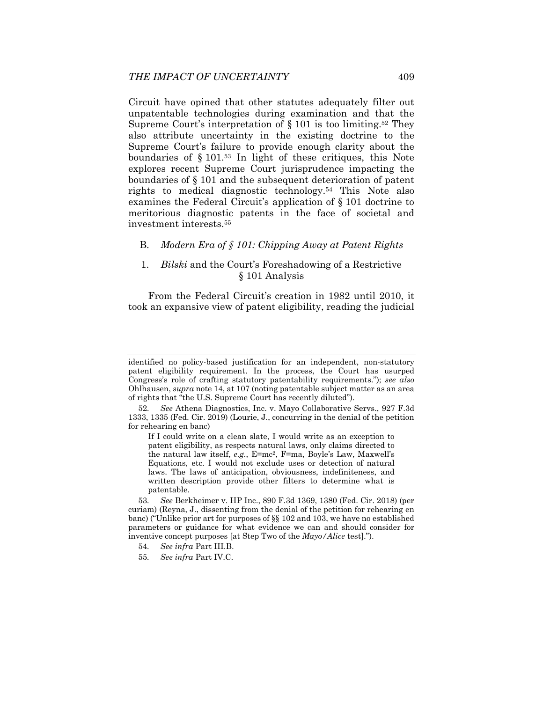Circuit have opined that other statutes adequately filter out unpatentable technologies during examination and that the Supreme Court's interpretation of  $\S 101$  is too limiting.<sup>52</sup> They also attribute uncertainty in the existing doctrine to the Supreme Court's failure to provide enough clarity about the boundaries of § 101.53 In light of these critiques, this Note explores recent Supreme Court jurisprudence impacting the boundaries of § 101 and the subsequent deterioration of patent rights to medical diagnostic technology.54 This Note also examines the Federal Circuit's application of § 101 doctrine to meritorious diagnostic patents in the face of societal and investment interests.55

# B. *Modern Era of § 101: Chipping Away at Patent Rights*

# 1. *Bilski* and the Court's Foreshadowing of a Restrictive § 101 Analysis

From the Federal Circuit's creation in 1982 until 2010, it took an expansive view of patent eligibility, reading the judicial

- 54*. See infra* Part III.B.
- 55*. See infra* Part IV.C.

identified no policy-based justification for an independent, non-statutory patent eligibility requirement. In the process, the Court has usurped Congress's role of crafting statutory patentability requirements."); *see also*  Ohlhausen, *supra* note 14, at 107 (noting patentable subject matter as an area of rights that "the U.S. Supreme Court has recently diluted").

<sup>52</sup>*. See* Athena Diagnostics, Inc. v. Mayo Collaborative Servs., 927 F.3d 1333, 1335 (Fed. Cir. 2019) (Lourie, J., concurring in the denial of the petition for rehearing en banc)

If I could write on a clean slate, I would write as an exception to patent eligibility, as respects natural laws, only claims directed to the natural law itself, *e.g.*, E=mc2, F=ma, Boyle's Law, Maxwell's Equations, etc. I would not exclude uses or detection of natural laws. The laws of anticipation, obviousness, indefiniteness, and written description provide other filters to determine what is patentable.

<sup>53</sup>*. See* Berkheimer v. HP Inc., 890 F.3d 1369, 1380 (Fed. Cir. 2018) (per curiam) (Reyna, J., dissenting from the denial of the petition for rehearing en banc) ("Unlike prior art for purposes of §§ 102 and 103, we have no established parameters or guidance for what evidence we can and should consider for inventive concept purposes [at Step Two of the *Mayo/Alice* test].").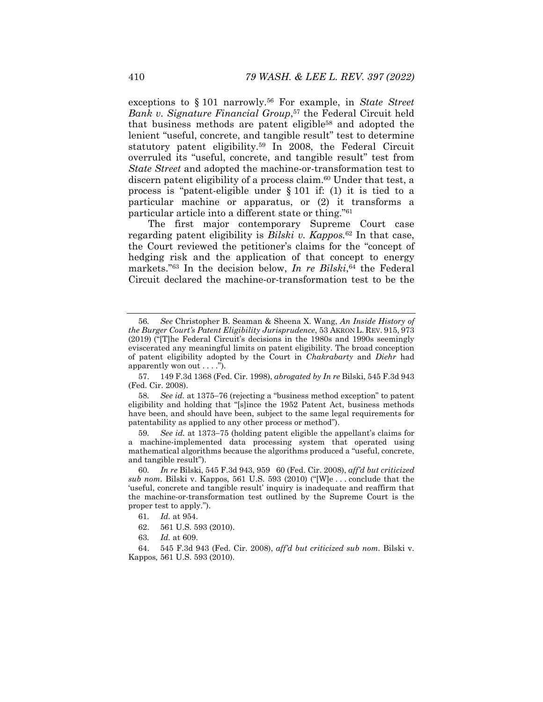exceptions to § 101 narrowly.56 For example, in *State Street Bank v. Signature Financial Group*,<sup>57</sup> the Federal Circuit held that business methods are patent eligible58 and adopted the lenient "useful, concrete, and tangible result" test to determine statutory patent eligibility.59 In 2008, the Federal Circuit overruled its "useful, concrete, and tangible result" test from *State Street* and adopted the machine-or-transformation test to discern patent eligibility of a process claim.<sup>60</sup> Under that test, a process is "patent-eligible under § 101 if: (1) it is tied to a particular machine or apparatus, or (2) it transforms a particular article into a different state or thing."61

The first major contemporary Supreme Court case regarding patent eligibility is *Bilski v. Kappos.*62 In that case, the Court reviewed the petitioner's claims for the "concept of hedging risk and the application of that concept to energy markets."<sup>63</sup> In the decision below, *In re Bilski*,<sup>64</sup> the Federal Circuit declared the machine-or-transformation test to be the

59. See id. at 1373–75 (holding patent eligible the appellant's claims for a machine-implemented data processing system that operated using mathematical algorithms because the algorithms produced a "useful, concrete, and tangible result").

63*. Id.* at 609.

 64. 545 F.3d 943 (Fed. Cir. 2008), *aff'd but criticized sub nom.* Bilski v. Kappos*,* 561 U.S. 593 (2010).

<sup>56</sup>*. See* Christopher B. Seaman & Sheena X. Wang, *An Inside History of the Burger Court's Patent Eligibility Jurisprudence*, 53 AKRON L. REV. 915, 973 (2019) ("[T]he Federal Circuit's decisions in the 1980s and 1990s seemingly eviscerated any meaningful limits on patent eligibility. The broad conception of patent eligibility adopted by the Court in *Chakrabarty* and *Diehr* had apparently won out . . . .").

 <sup>57. 149</sup> F.3d 1368 (Fed. Cir. 1998), *abrogated by In re* Bilski, 545 F.3d 943 (Fed. Cir. 2008).

<sup>58.</sup> See id. at 1375–76 (rejecting a "business method exception" to patent eligibility and holding that "[s]ince the 1952 Patent Act, business methods have been, and should have been, subject to the same legal requirements for patentability as applied to any other process or method").

<sup>60</sup>*. In re* Bilski, 545 F.3d 943, 95960 (Fed. Cir. 2008), *aff'd but criticized sub nom.* Bilski v. Kappos*,* 561 U.S. 593 (2010) ("[W]e . . . conclude that the 'useful, concrete and tangible result' inquiry is inadequate and reaffirm that the machine-or-transformation test outlined by the Supreme Court is the proper test to apply.").

<sup>61</sup>*. Id.* at 954.

 <sup>62. 561</sup> U.S. 593 (2010).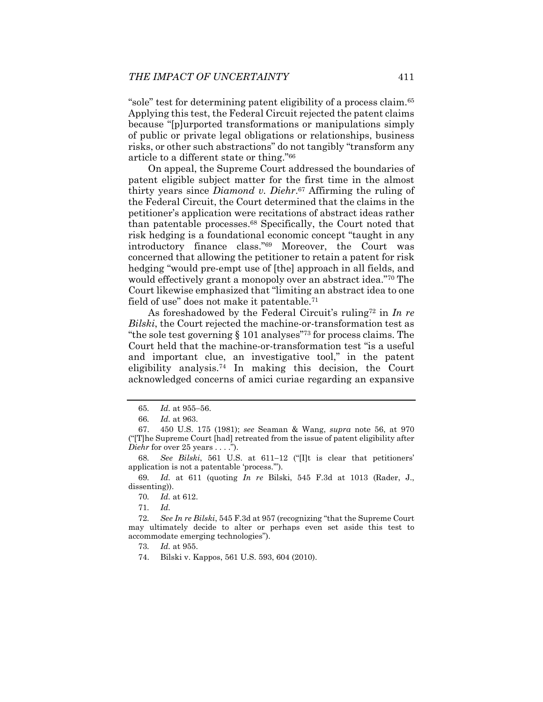"sole" test for determining patent eligibility of a process claim.65 Applying this test, the Federal Circuit rejected the patent claims because "[p]urported transformations or manipulations simply of public or private legal obligations or relationships, business risks, or other such abstractions" do not tangibly "transform any article to a different state or thing."66

On appeal, the Supreme Court addressed the boundaries of patent eligible subject matter for the first time in the almost thirty years since *Diamond v. Diehr*.67 Affirming the ruling of the Federal Circuit, the Court determined that the claims in the petitioner's application were recitations of abstract ideas rather than patentable processes.68 Specifically, the Court noted that risk hedging is a foundational economic concept "taught in any introductory finance class."69 Moreover, the Court was concerned that allowing the petitioner to retain a patent for risk hedging "would pre-empt use of [the] approach in all fields, and would effectively grant a monopoly over an abstract idea."70 The Court likewise emphasized that "limiting an abstract idea to one field of use" does not make it patentable.71

As foreshadowed by the Federal Circuit's ruling72 in *In re Bilski*, the Court rejected the machine-or-transformation test as "the sole test governing § 101 analyses"73 for process claims. The Court held that the machine-or-transformation test "is a useful and important clue, an investigative tool," in the patent eligibility analysis.74 In making this decision, the Court acknowledged concerns of amici curiae regarding an expansive

<sup>65.</sup> *Id.* at 955-56.

<sup>66</sup>*. Id.* at 963.

 <sup>67. 450</sup> U.S. 175 (1981); *see* Seaman & Wang, *supra* note 56, at 970 ("[T]he Supreme Court [had] retreated from the issue of patent eligibility after *Diehr* for over 25 years . . . .").

<sup>68.</sup> See Bilski, 561 U.S. at 611-12 ("[I]t is clear that petitioners' application is not a patentable 'process.'").

<sup>69</sup>*. Id.* at 611 (quoting *In re* Bilski, 545 F.3d at 1013 (Rader, J., dissenting)).

<sup>70</sup>*. Id.* at 612.

<sup>71</sup>*. Id.* 

<sup>72</sup>*. See In re Bilski*, 545 F.3d at 957 (recognizing "that the Supreme Court may ultimately decide to alter or perhaps even set aside this test to accommodate emerging technologies").

<sup>73</sup>*. Id.* at 955.

 <sup>74.</sup> Bilski v. Kappos, 561 U.S. 593, 604 (2010).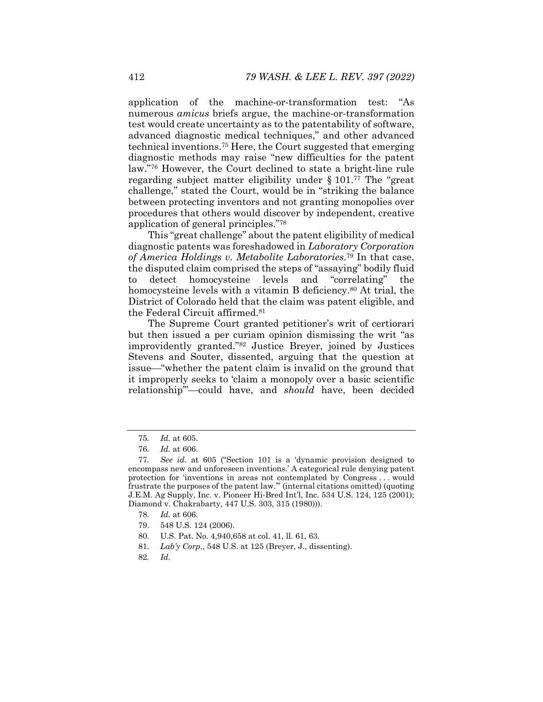application of the machine-or-transformation test: "As numerous *amicus* briefs argue, the machine-or-transformation test would create uncertainty as to the patentability of software, advanced diagnostic medical techniques," and other advanced technical inventions.75 Here, the Court suggested that emerging diagnostic methods may raise "new difficulties for the patent law."76 However, the Court declined to state a bright-line rule regarding subject matter eligibility under § 101.77 The "great challenge," stated the Court, would be in "striking the balance between protecting inventors and not granting monopolies over procedures that others would discover by independent, creative application of general principles."78

This "great challenge" about the patent eligibility of medical diagnostic patents was foreshadowed in *Laboratory Corporation of America Holdings v. Metabolite Laboratories*.79 In that case, the disputed claim comprised the steps of "assaying" bodily fluid to detect homocysteine levels and "correlating" the homocysteine levels with a vitamin B deficiency.<sup>80</sup> At trial, the District of Colorado held that the claim was patent eligible, and the Federal Circuit affirmed.81

The Supreme Court granted petitioner's writ of certiorari but then issued a per curiam opinion dismissing the writ "as improvidently granted."82 Justice Breyer, joined by Justices Stevens and Souter, dissented, arguing that the question at issue—"whether the patent claim is invalid on the ground that it improperly seeks to 'claim a monopoly over a basic scientific relationship"-could have, and *should* have, been decided

- 78*. Id.* at 606.
- 79. 548 U.S. 124 (2006).
- 80. U.S. Pat. No. 4,940,658 at col. 41, ll. 61, 63.
- 81*. Lab'y Corp.*, 548 U.S. at 125 (Breyer, J., dissenting).
- 82*. Id.*

<sup>75</sup>*. Id.* at 605.

<sup>76</sup>*. Id.* at 606.

<sup>77</sup>*. See id.* at 605 ("Section 101 is a 'dynamic provision designed to encompass new and unforeseen inventions.' A categorical rule denying patent protection for 'inventions in areas not contemplated by Congress . . . would frustrate the purposes of the patent law.'" (internal citations omitted) (quoting J.E.M. Ag Supply, Inc. v. Pioneer Hi-Bred Int'l, Inc. 534 U.S. 124, 125 (2001); Diamond v. Chakrabarty, 447 U.S. 303, 315 (1980))).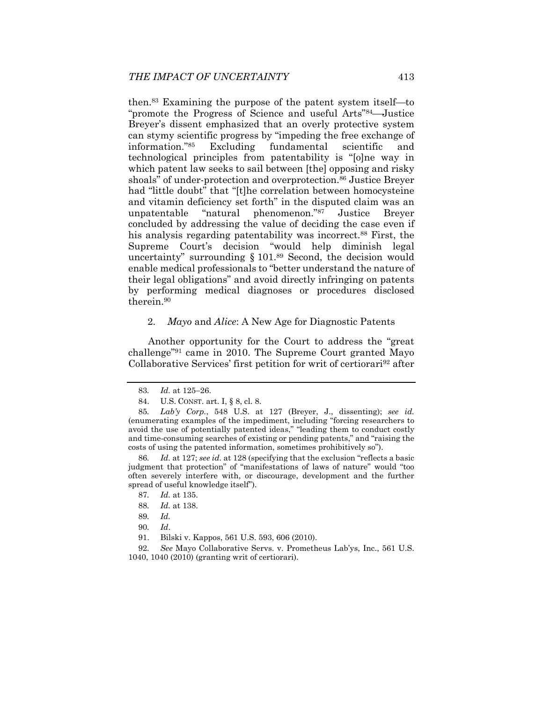then. $83$  Examining the purpose of the patent system itself—to "promote the Progress of Science and useful Arts<sup>"84</sup>—Justice Breyer's dissent emphasized that an overly protective system can stymy scientific progress by "impeding the free exchange of information."85 Excluding fundamental scientific and technological principles from patentability is "[o]ne way in which patent law seeks to sail between [the] opposing and risky shoals" of under-protection and overprotection.<sup>86</sup> Justice Breyer had "little doubt" that "[t]he correlation between homocysteine and vitamin deficiency set forth" in the disputed claim was an unpatentable "natural phenomenon."87 Justice Breyer concluded by addressing the value of deciding the case even if his analysis regarding patentability was incorrect.<sup>88</sup> First, the Supreme Court's decision "would help diminish legal uncertainty" surrounding § 101.89 Second, the decision would enable medical professionals to "better understand the nature of their legal obligations" and avoid directly infringing on patents by performing medical diagnoses or procedures disclosed therein.90

# 2. *Mayo* and *Alice*: A New Age for Diagnostic Patents

Another opportunity for the Court to address the "great challenge"91 came in 2010. The Supreme Court granted Mayo Collaborative Services' first petition for writ of certiorari<sup>92</sup> after

<sup>83.</sup> *Id.* at 125-26.

 <sup>84.</sup> U.S. CONST. art. I, § 8, cl. 8.

<sup>85</sup>*. Lab'y Corp.*, 548 U.S. at 127 (Breyer, J., dissenting); *see id.* (enumerating examples of the impediment, including "forcing researchers to avoid the use of potentially patented ideas," "leading them to conduct costly and time-consuming searches of existing or pending patents," and "raising the costs of using the patented information, sometimes prohibitively so").

<sup>86</sup>*. Id.* at 127; *see id.* at 128 (specifying that the exclusion "reflects a basic judgment that protection" of "manifestations of laws of nature" would "too often severely interfere with, or discourage, development and the further spread of useful knowledge itself").

<sup>87</sup>*. Id.* at 135.

<sup>88</sup>*. Id.* at 138.

<sup>89</sup>*. Id.*

<sup>90</sup>*. Id*.

 <sup>91.</sup> Bilski v. Kappos, 561 U.S. 593, 606 (2010).

<sup>92</sup>*. See* Mayo Collaborative Servs. v. Prometheus Lab'ys, Inc., 561 U.S. 1040, 1040 (2010) (granting writ of certiorari).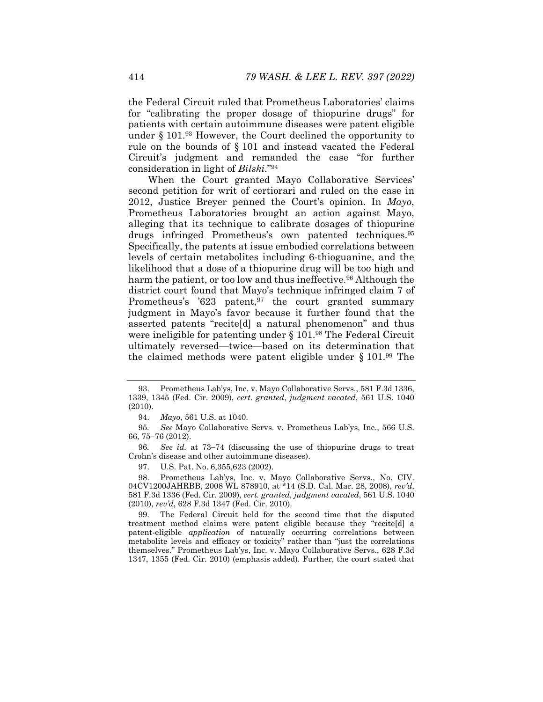the Federal Circuit ruled that Prometheus Laboratories' claims for "calibrating the proper dosage of thiopurine drugs" for patients with certain autoimmune diseases were patent eligible under § 101.93 However, the Court declined the opportunity to rule on the bounds of § 101 and instead vacated the Federal Circuit's judgment and remanded the case "for further consideration in light of *Bilski*."94

When the Court granted Mayo Collaborative Services' second petition for writ of certiorari and ruled on the case in 2012, Justice Breyer penned the Court's opinion. In *Mayo*, Prometheus Laboratories brought an action against Mayo, alleging that its technique to calibrate dosages of thiopurine drugs infringed Prometheus's own patented techniques.95 Specifically, the patents at issue embodied correlations between levels of certain metabolites including 6-thioguanine, and the likelihood that a dose of a thiopurine drug will be too high and harm the patient, or too low and thus ineffective.<sup>96</sup> Although the district court found that Mayo's technique infringed claim 7 of Prometheus's '623 patent,<sup>97</sup> the court granted summary judgment in Mayo's favor because it further found that the asserted patents "recite[d] a natural phenomenon" and thus were ineligible for patenting under  $\S 101$ .<sup>98</sup> The Federal Circuit ultimately reversed—twice—based on its determination that the claimed methods were patent eligible under § 101.99 The

 <sup>93.</sup> Prometheus Lab'ys, Inc. v. Mayo Collaborative Servs., 581 F.3d 1336, 1339, 1345 (Fed. Cir. 2009), *cert. granted*, *judgment vacated*, 561 U.S. 1040 (2010).

 <sup>94.</sup> *Mayo*, 561 U.S. at 1040.

<sup>95</sup>*. See* Mayo Collaborative Servs. v. Prometheus Lab'ys, Inc., 566 U.S. 66, 75-76 (2012).

<sup>96.</sup> See id. at 73-74 (discussing the use of thiopurine drugs to treat Crohn's disease and other autoimmune diseases).

 <sup>97.</sup> U.S. Pat. No. 6,355,623 (2002).

 <sup>98.</sup> Prometheus Lab'ys, Inc. v. Mayo Collaborative Servs., No. CIV. 04CV1200JAHRBB, 2008 WL 878910, at \*14 (S.D. Cal. Mar. 28, 2008), *rev'd*, 581 F.3d 1336 (Fed. Cir. 2009), *cert. granted*, *judgment vacated*, 561 U.S. 1040 (2010), *rev'd*, 628 F.3d 1347 (Fed. Cir. 2010).

 <sup>99.</sup> The Federal Circuit held for the second time that the disputed treatment method claims were patent eligible because they "recite[d] a patent-eligible *application* of naturally occurring correlations between metabolite levels and efficacy or toxicity" rather than "just the correlations themselves." Prometheus Lab'ys, Inc. v. Mayo Collaborative Servs., 628 F.3d 1347, 1355 (Fed. Cir. 2010) (emphasis added). Further, the court stated that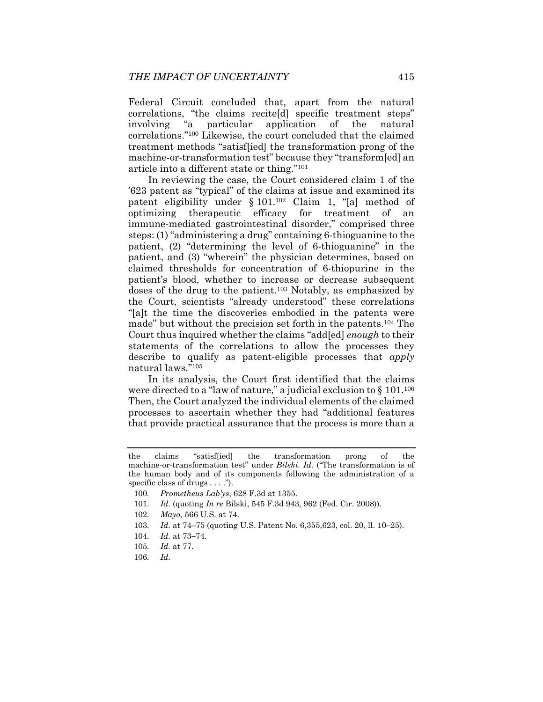Federal Circuit concluded that, apart from the natural correlations, "the claims recite[d] specific treatment steps" involving "a particular application of the natural correlations."100 Likewise, the court concluded that the claimed treatment methods "satisf[ied] the transformation prong of the machine-or-transformation test" because they "transform[ed] an article into a different state or thing."101

In reviewing the case, the Court considered claim 1 of the '623 patent as "typical" of the claims at issue and examined its patent eligibility under § 101.102 Claim 1, "[a] method of optimizing therapeutic efficacy for treatment of an immune-mediated gastrointestinal disorder," comprised three steps: (1) "administering a drug" containing 6-thioguanine to the patient, (2) "determining the level of 6-thioguanine" in the patient, and (3) "wherein" the physician determines, based on claimed thresholds for concentration of 6-thiopurine in the patient's blood, whether to increase or decrease subsequent doses of the drug to the patient.103 Notably, as emphasized by the Court, scientists "already understood" these correlations "[a]t the time the discoveries embodied in the patents were made" but without the precision set forth in the patents.104 The Court thus inquired whether the claims "add[ed] *enough* to their statements of the correlations to allow the processes they describe to qualify as patent-eligible processes that *apply* natural laws."105

In its analysis, the Court first identified that the claims were directed to a "law of nature," a judicial exclusion to  $\S$  101.<sup>106</sup> Then, the Court analyzed the individual elements of the claimed processes to ascertain whether they had "additional features that provide practical assurance that the process is more than a

the claims "satisf[ied] the transformation prong of the machine-or-transformation test" under *Bilski*. *Id.* ("The transformation is of the human body and of its components following the administration of a specific class of drugs . . . .").

<sup>100</sup>*. Prometheus Lab'ys*, 628 F.3d at 1355.

<sup>101</sup>*. Id.* (quoting *In re* Bilski, 545 F.3d 943, 962 (Fed. Cir. 2008)).

<sup>102</sup>*. Mayo*, 566 U.S. at 74.

<sup>103.</sup> *Id.* at 74–75 (quoting U.S. Patent No. 6,355,623, col. 20, ll. 10–25).

<sup>104.</sup> *Id.* at 73-74.

<sup>105</sup>*. Id.* at 77.

<sup>106</sup>*. Id.*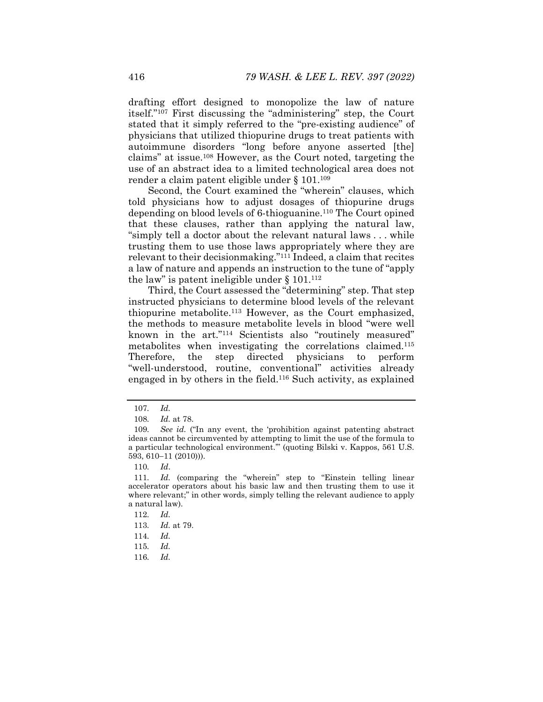drafting effort designed to monopolize the law of nature itself."107 First discussing the "administering" step, the Court stated that it simply referred to the "pre-existing audience" of physicians that utilized thiopurine drugs to treat patients with autoimmune disorders "long before anyone asserted [the] claims" at issue.108 However, as the Court noted, targeting the use of an abstract idea to a limited technological area does not render a claim patent eligible under § 101.109

Second, the Court examined the "wherein" clauses, which told physicians how to adjust dosages of thiopurine drugs depending on blood levels of 6-thioguanine.110 The Court opined that these clauses, rather than applying the natural law, "simply tell a doctor about the relevant natural laws . . . while trusting them to use those laws appropriately where they are relevant to their decisionmaking."<sup>111</sup> Indeed, a claim that recites a law of nature and appends an instruction to the tune of "apply the law" is patent ineligible under  $\S 101$ .<sup>112</sup>

Third, the Court assessed the "determining" step. That step instructed physicians to determine blood levels of the relevant thiopurine metabolite.113 However, as the Court emphasized, the methods to measure metabolite levels in blood "were well known in the art."114 Scientists also "routinely measured" metabolites when investigating the correlations claimed.115 Therefore, the step directed physicians to perform "well-understood, routine, conventional" activities already engaged in by others in the field.116 Such activity, as explained

116*. Id.*

<sup>107</sup>*. Id.*

<sup>108</sup>*. Id.* at 78.

<sup>109</sup>*. See id.* ("In any event, the 'prohibition against patenting abstract ideas cannot be circumvented by attempting to limit the use of the formula to a particular technological environment.'" (quoting Bilski v. Kappos, 561 U.S.  $593, 610 - 11 (2010)$ ).

<sup>110</sup>*. Id*.

<sup>111</sup>*. Id.* (comparing the "wherein" step to "Einstein telling linear accelerator operators about his basic law and then trusting them to use it where relevant;" in other words, simply telling the relevant audience to apply a natural law).

<sup>112</sup>*. Id.*

<sup>113</sup>*. Id.* at 79.

<sup>114</sup>*. Id.* 

<sup>115</sup>*. Id.*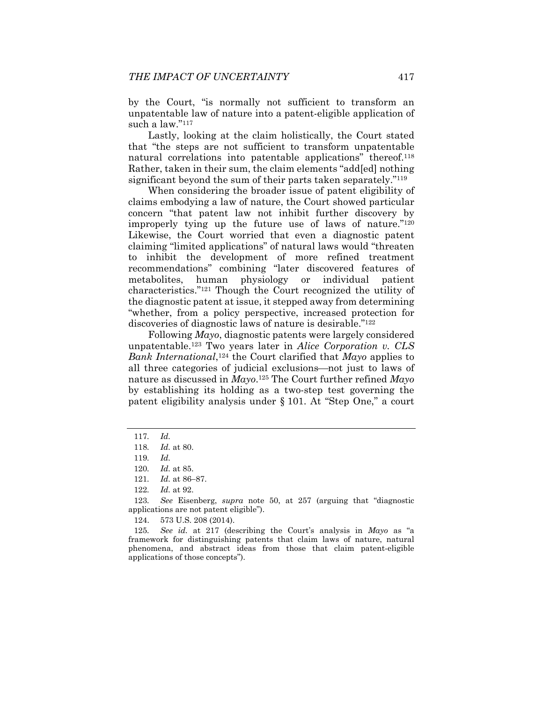by the Court, "is normally not sufficient to transform an unpatentable law of nature into a patent-eligible application of such a law."117

Lastly, looking at the claim holistically, the Court stated that "the steps are not sufficient to transform unpatentable natural correlations into patentable applications" thereof.<sup>118</sup> Rather, taken in their sum, the claim elements "add[ed] nothing significant beyond the sum of their parts taken separately."<sup>119</sup>

When considering the broader issue of patent eligibility of claims embodying a law of nature, the Court showed particular concern "that patent law not inhibit further discovery by improperly tying up the future use of laws of nature."120 Likewise, the Court worried that even a diagnostic patent claiming "limited applications" of natural laws would "threaten to inhibit the development of more refined treatment recommendations" combining "later discovered features of metabolites, human physiology or individual patient characteristics."121 Though the Court recognized the utility of the diagnostic patent at issue, it stepped away from determining "whether, from a policy perspective, increased protection for discoveries of diagnostic laws of nature is desirable."122

Following *Mayo*, diagnostic patents were largely considered unpatentable.123 Two years later in *Alice Corporation v. CLS Bank International*,124 the Court clarified that *Mayo* applies to all three categories of judicial exclusions—not just to laws of nature as discussed in *Mayo*.125 The Court further refined *Mayo* by establishing its holding as a two-step test governing the patent eligibility analysis under § 101. At "Step One," a court

<sup>117</sup>*. Id.*

<sup>118</sup>*. Id.* at 80.

<sup>119</sup>*. Id.*

<sup>120</sup>*. Id.* at 85.

<sup>121.</sup> *Id.* at 86-87.

<sup>122</sup>*. Id.* at 92.

<sup>123</sup>*. See* Eisenberg, *supra* note 50, at 257 (arguing that "diagnostic applications are not patent eligible").

 <sup>124. 573</sup> U.S. 208 (2014).

<sup>125</sup>*. See id.* at 217 (describing the Court's analysis in *Mayo* as "a framework for distinguishing patents that claim laws of nature, natural phenomena, and abstract ideas from those that claim patent-eligible applications of those concepts").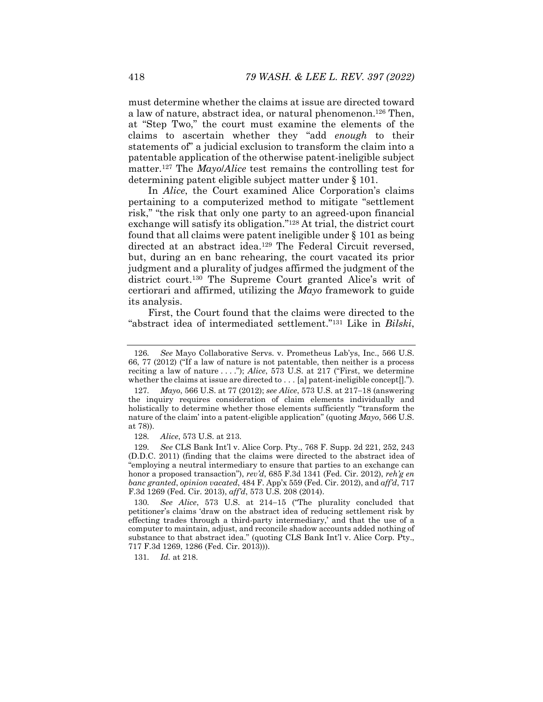must determine whether the claims at issue are directed toward a law of nature, abstract idea, or natural phenomenon.126 Then, at "Step Two," the court must examine the elements of the claims to ascertain whether they "add *enough* to their statements of" a judicial exclusion to transform the claim into a patentable application of the otherwise patent-ineligible subject matter.127 The *Mayo*/*Alice* test remains the controlling test for determining patent eligible subject matter under § 101.

In *Alice*, the Court examined Alice Corporation's claims pertaining to a computerized method to mitigate "settlement risk," "the risk that only one party to an agreed-upon financial exchange will satisfy its obligation."128 At trial, the district court found that all claims were patent ineligible under § 101 as being directed at an abstract idea.<sup>129</sup> The Federal Circuit reversed, but, during an en banc rehearing, the court vacated its prior judgment and a plurality of judges affirmed the judgment of the district court.130 The Supreme Court granted Alice's writ of certiorari and affirmed, utilizing the *Mayo* framework to guide its analysis.

First, the Court found that the claims were directed to the "abstract idea of intermediated settlement."131 Like in *Bilski*,

131*. Id.* at 218.

<sup>126</sup>*. See* Mayo Collaborative Servs. v. Prometheus Lab'ys, Inc., 566 U.S. 66, 77 (2012) ("If a law of nature is not patentable, then neither is a process reciting a law of nature . . . ."); *Alice*, 573 U.S. at 217 ("First, we determine whether the claims at issue are directed to . . . [a] patent-ineligible concept[].").

<sup>127.</sup> *Mayo*, 566 U.S. at 77 (2012); *see Alice*, 573 U.S. at 217–18 (answering the inquiry requires consideration of claim elements individually and holistically to determine whether those elements sufficiently "'transform the nature of the claim' into a patent-eligible application" (quoting *Mayo*, 566 U.S. at 78)).

<sup>128</sup>*. Alice*, 573 U.S. at 213.

<sup>129</sup>*. See* CLS Bank Int'l v. Alice Corp. Pty., 768 F. Supp. 2d 221, 252, 243 (D.D.C. 2011) (finding that the claims were directed to the abstract idea of "employing a neutral intermediary to ensure that parties to an exchange can honor a proposed transaction"), *rev'd*, 685 F.3d 1341 (Fed. Cir. 2012), *reh'g en banc granted*, *opinion vacated*, 484 F. App'x 559 (Fed. Cir. 2012), and *aff'd*, 717 F.3d 1269 (Fed. Cir. 2013), *aff'd*, 573 U.S. 208 (2014).

<sup>130.</sup> See Alice, 573 U.S. at 214-15 ("The plurality concluded that petitioner's claims 'draw on the abstract idea of reducing settlement risk by effecting trades through a third-party intermediary,' and that the use of a computer to maintain, adjust, and reconcile shadow accounts added nothing of substance to that abstract idea." (quoting CLS Bank Int'l v. Alice Corp. Pty., 717 F.3d 1269, 1286 (Fed. Cir. 2013))).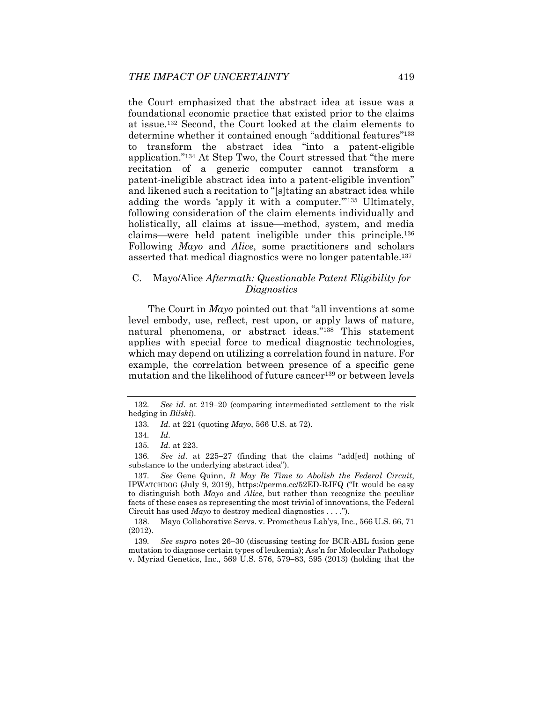the Court emphasized that the abstract idea at issue was a foundational economic practice that existed prior to the claims at issue.132 Second, the Court looked at the claim elements to determine whether it contained enough "additional features"133 to transform the abstract idea "into a patent-eligible application."134 At Step Two, the Court stressed that "the mere recitation of a generic computer cannot transform a patent-ineligible abstract idea into a patent-eligible invention" and likened such a recitation to "[s]tating an abstract idea while adding the words 'apply it with a computer.'"135 Ultimately, following consideration of the claim elements individually and holistically, all claims at issue—method, system, and media  $clains—were held patent in eligible under this principle.<sup>136</sup>$ Following *Mayo* and *Alice*, some practitioners and scholars asserted that medical diagnostics were no longer patentable.137

# C. Mayo/Alice *Aftermath: Questionable Patent Eligibility for Diagnostics*

The Court in *Mayo* pointed out that "all inventions at some level embody, use, reflect, rest upon, or apply laws of nature, natural phenomena, or abstract ideas."138 This statement applies with special force to medical diagnostic technologies, which may depend on utilizing a correlation found in nature. For example, the correlation between presence of a specific gene mutation and the likelihood of future cancer<sup>139</sup> or between levels

136*.* See id. at 225–27 (finding that the claims "addled nothing of substance to the underlying abstract idea").

137*. See* Gene Quinn, *It May Be Time to Abolish the Federal Circuit*, IPWATCHDOG (July 9, 2019), https://perma.cc/52ED-RJFQ ("It would be easy to distinguish both *Mayo* and *Alice*, but rather than recognize the peculiar facts of these cases as representing the most trivial of innovations, the Federal Circuit has used *Mayo* to destroy medical diagnostics . . . .").

 138. Mayo Collaborative Servs. v. Prometheus Lab'ys, Inc., 566 U.S. 66, 71 (2012).

139. See *supra* notes 26-30 (discussing testing for BCR-ABL fusion gene mutation to diagnose certain types of leukemia); Ass'n for Molecular Pathology v. Myriad Genetics, Inc., 569 U.S. 576, 579–83, 595 (2013) (holding that the

<sup>132.</sup> See id. at 219–20 (comparing intermediated settlement to the risk hedging in *Bilski*).

<sup>133</sup>*. Id.* at 221 (quoting *Mayo*, 566 U.S. at 72).

<sup>134</sup>*. Id.*

<sup>135</sup>*. Id.* at 223.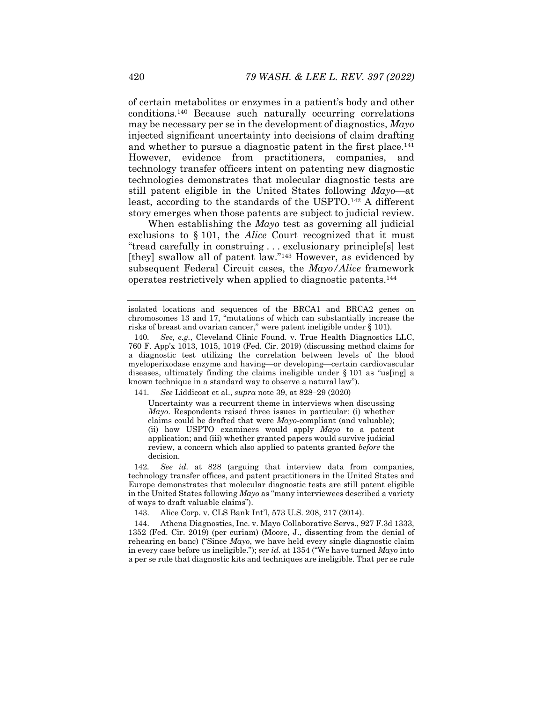of certain metabolites or enzymes in a patient's body and other conditions.140 Because such naturally occurring correlations may be necessary per se in the development of diagnostics, *Mayo* injected significant uncertainty into decisions of claim drafting and whether to pursue a diagnostic patent in the first place.<sup>141</sup> However, evidence from practitioners, companies, and technology transfer officers intent on patenting new diagnostic technologies demonstrates that molecular diagnostic tests are still patent eligible in the United States following  $Mayo$ —at least, according to the standards of the USPTO.142 A different story emerges when those patents are subject to judicial review.

When establishing the *Mayo* test as governing all judicial exclusions to § 101, the *Alice* Court recognized that it must "tread carefully in construing . . . exclusionary principle[s] lest [they] swallow all of patent law."<sup>143</sup> However, as evidenced by subsequent Federal Circuit cases, the *Mayo/Alice* framework operates restrictively when applied to diagnostic patents.144

141. See Liddicoat et al., *supra* note 39, at 828–29 (2020)

Uncertainty was a recurrent theme in interviews when discussing *Mayo*. Respondents raised three issues in particular: (i) whether claims could be drafted that were *Mayo*-compliant (and valuable); (ii) how USPTO examiners would apply *Mayo* to a patent application; and (iii) whether granted papers would survive judicial review, a concern which also applied to patents granted *before* the decision.

142*. See id.* at 828 (arguing that interview data from companies, technology transfer offices, and patent practitioners in the United States and Europe demonstrates that molecular diagnostic tests are still patent eligible in the United States following *Mayo* as "many interviewees described a variety of ways to draft valuable claims").

143. Alice Corp. v. CLS Bank Int'l, 573 U.S. 208, 217 (2014).

 144. Athena Diagnostics, Inc. v. Mayo Collaborative Servs., 927 F.3d 1333, 1352 (Fed. Cir. 2019) (per curiam) (Moore, J., dissenting from the denial of rehearing en banc) ("Since *Mayo*, we have held every single diagnostic claim in every case before us ineligible."); *see id.* at 1354 ("We have turned *Mayo* into a per se rule that diagnostic kits and techniques are ineligible. That per se rule

isolated locations and sequences of the BRCA1 and BRCA2 genes on chromosomes 13 and 17, "mutations of which can substantially increase the risks of breast and ovarian cancer," were patent ineligible under § 101).

<sup>140</sup>*. See, e.g.*, Cleveland Clinic Found. v. True Health Diagnostics LLC, 760 F. App'x 1013, 1015, 1019 (Fed. Cir. 2019) (discussing method claims for a diagnostic test utilizing the correlation between levels of the blood myeloperixodase enzyme and having—or developing—certain cardiovascular diseases, ultimately finding the claims ineligible under  $\S 101$  as "us[ing] a known technique in a standard way to observe a natural law").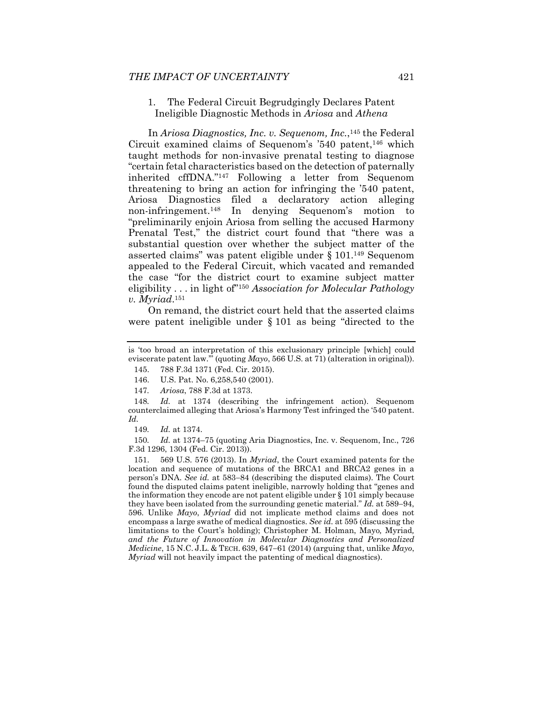#### 1. The Federal Circuit Begrudgingly Declares Patent Ineligible Diagnostic Methods in *Ariosa* and *Athena*

In *Ariosa Diagnostics, Inc. v. Sequenom, Inc.*,145 the Federal Circuit examined claims of Sequenom's  $540$  patent,<sup>146</sup> which taught methods for non-invasive prenatal testing to diagnose "certain fetal characteristics based on the detection of paternally inherited cffDNA."147 Following a letter from Sequenom threatening to bring an action for infringing the '540 patent, Ariosa Diagnostics filed a declaratory action alleging non-infringement.148 In denying Sequenom's motion to "preliminarily enjoin Ariosa from selling the accused Harmony Prenatal Test," the district court found that "there was a substantial question over whether the subject matter of the asserted claims" was patent eligible under § 101.149 Sequenom appealed to the Federal Circuit, which vacated and remanded the case "for the district court to examine subject matter eligibility . . . in light of"150 *Association for Molecular Pathology v. Myriad*.151

On remand, the district court held that the asserted claims were patent ineligible under § 101 as being "directed to the

147*. Ariosa*, 788 F.3d at 1373.

148*. Id.* at 1374 (describing the infringement action). Sequenom counterclaimed alleging that Ariosa's Harmony Test infringed the '540 patent. *Id.* 

150*. Id.* at 1374–75 (quoting Aria Diagnostics, Inc. v. Sequenom, Inc., 726 F.3d 1296, 1304 (Fed. Cir. 2013)).

 151. 569 U.S. 576 (2013). In *Myriad*, the Court examined patents for the location and sequence of mutations of the BRCA1 and BRCA2 genes in a person's DNA. *See id.* at 583–84 (describing the disputed claims). The Court found the disputed claims patent ineligible, narrowly holding that "genes and the information they encode are not patent eligible under § 101 simply because they have been isolated from the surrounding genetic material." *Id.* at 589-94, 596. Unlike *Mayo*, *Myriad* did not implicate method claims and does not encompass a large swathe of medical diagnostics. *See id.* at 595 (discussing the limitations to the Court's holding); Christopher M. Holman, Mayo*,* Myriad*, and the Future of Innovation in Molecular Diagnostics and Personalized Medicine*, 15 N.C. J.L. & TECH. 639, 647–61 (2014) (arguing that, unlike *Mayo*, *Myriad* will not heavily impact the patenting of medical diagnostics).

is 'too broad an interpretation of this exclusionary principle [which] could eviscerate patent law.'" (quoting *Mayo*, 566 U.S. at 71) (alteration in original)).

 <sup>145. 788</sup> F.3d 1371 (Fed. Cir. 2015).

 <sup>146.</sup> U.S. Pat. No. 6,258,540 (2001).

<sup>149</sup>*. Id.* at 1374.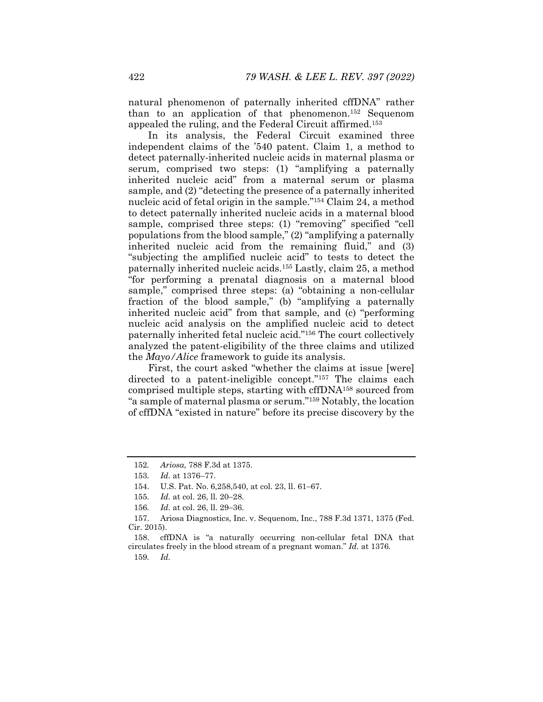natural phenomenon of paternally inherited cffDNA" rather than to an application of that phenomenon.152 Sequenom appealed the ruling, and the Federal Circuit affirmed.153

In its analysis, the Federal Circuit examined three independent claims of the '540 patent. Claim 1, a method to detect paternally-inherited nucleic acids in maternal plasma or serum, comprised two steps: (1) "amplifying a paternally inherited nucleic acid" from a maternal serum or plasma sample, and (2) "detecting the presence of a paternally inherited nucleic acid of fetal origin in the sample."154 Claim 24, a method to detect paternally inherited nucleic acids in a maternal blood sample, comprised three steps: (1) "removing" specified "cell populations from the blood sample," (2) "amplifying a paternally inherited nucleic acid from the remaining fluid," and (3) "subjecting the amplified nucleic acid" to tests to detect the paternally inherited nucleic acids.155 Lastly, claim 25, a method "for performing a prenatal diagnosis on a maternal blood sample," comprised three steps: (a) "obtaining a non-cellular fraction of the blood sample," (b) "amplifying a paternally inherited nucleic acid" from that sample, and (c) "performing nucleic acid analysis on the amplified nucleic acid to detect paternally inherited fetal nucleic acid."156 The court collectively analyzed the patent-eligibility of the three claims and utilized the *Mayo/Alice* framework to guide its analysis.

First, the court asked "whether the claims at issue [were] directed to a patent-ineligible concept."<sup>157</sup> The claims each comprised multiple steps, starting with cffDNA158 sourced from "a sample of maternal plasma or serum."159 Notably, the location of cffDNA "existed in nature" before its precise discovery by the

159*. Id.*

<sup>152</sup>*. Ariosa,* 788 F.3d at 1375.

<sup>153</sup>*. Id.* at 1376–77.

<sup>154.</sup> U.S. Pat. No. 6,258,540, at col. 23, ll. 61–67.

<sup>155.</sup> *Id.* at col. 26, ll. 20–28.

<sup>156.</sup> *Id.* at col. 26, ll. 29–36.

 <sup>157.</sup> Ariosa Diagnostics, Inc. v. Sequenom, Inc., 788 F.3d 1371, 1375 (Fed. Cir. 2015).

 <sup>158.</sup> cffDNA is "a naturally occurring non-cellular fetal DNA that circulates freely in the blood stream of a pregnant woman." *Id.* at 1376.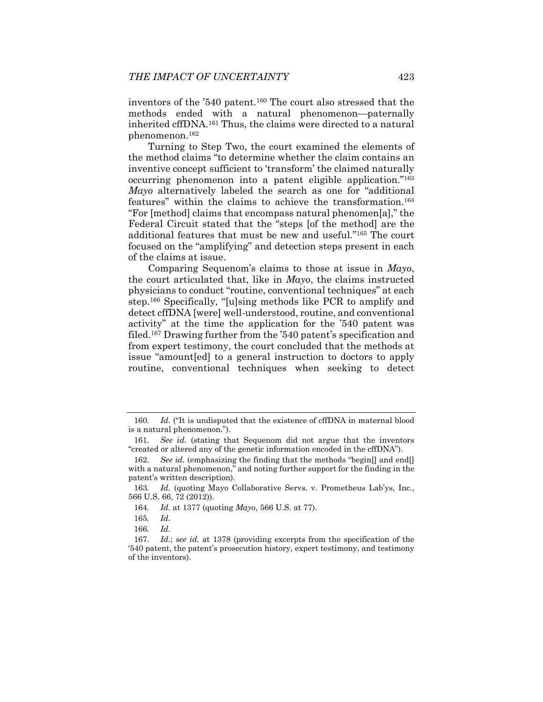inventors of the '540 patent.160 The court also stressed that the methods ended with a natural phenomenon--paternally inherited cffDNA.161 Thus, the claims were directed to a natural phenomenon.162

Turning to Step Two, the court examined the elements of the method claims "to determine whether the claim contains an inventive concept sufficient to 'transform' the claimed naturally occurring phenomenon into a patent eligible application."163 *Mayo* alternatively labeled the search as one for "additional features" within the claims to achieve the transformation.164 "For [method] claims that encompass natural phenomen[a]," the Federal Circuit stated that the "steps [of the method] are the additional features that must be new and useful."165 The court focused on the "amplifying" and detection steps present in each of the claims at issue.

Comparing Sequenom's claims to those at issue in *Mayo*, the court articulated that, like in *Mayo*, the claims instructed physicians to conduct "routine, conventional techniques" at each step.166 Specifically, "[u]sing methods like PCR to amplify and detect cffDNA [were] well-understood, routine, and conventional activity" at the time the application for the '540 patent was filed.167 Drawing further from the '540 patent's specification and from expert testimony, the court concluded that the methods at issue "amount[ed] to a general instruction to doctors to apply routine, conventional techniques when seeking to detect

165*. Id.*

166*. Id.*

<sup>160</sup>*. Id.* ("It is undisputed that the existence of cffDNA in maternal blood is a natural phenomenon.").

<sup>161</sup>*. See id.* (stating that Sequenom did not argue that the inventors "created or altered any of the genetic information encoded in the cffDNA").

<sup>162</sup>*. See id.* (emphasizing the finding that the methods "begin[] and end[] with a natural phenomenon," and noting further support for the finding in the patent's written description).

<sup>163</sup>*. Id.* (quoting Mayo Collaborative Servs. v. Prometheus Lab'ys, Inc., 566 U.S. 66, 72 (2012)).

<sup>164</sup>*. Id.* at 1377 (quoting *Mayo*, 566 U.S. at 77).

<sup>167</sup>*. Id.*; *see id.* at 1378 (providing excerpts from the specification of the '540 patent, the patent's prosecution history, expert testimony, and testimony of the inventors).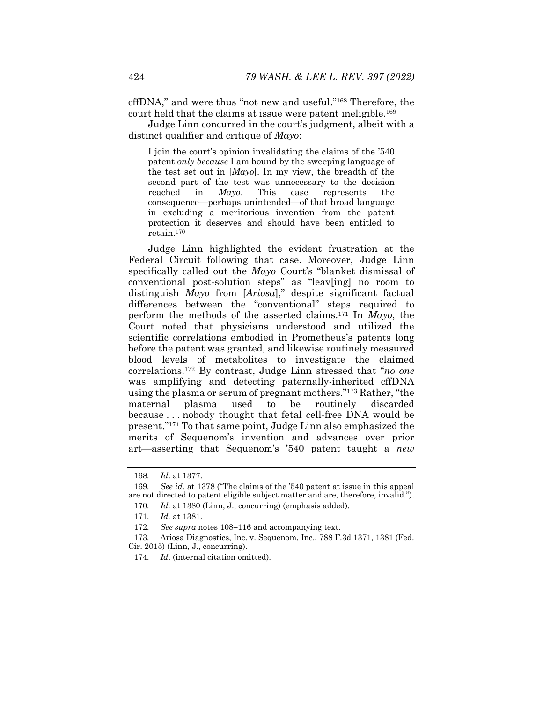cffDNA," and were thus "not new and useful."168 Therefore, the court held that the claims at issue were patent ineligible.169

Judge Linn concurred in the court's judgment, albeit with a distinct qualifier and critique of *Mayo*:

I join the court's opinion invalidating the claims of the '540 patent *only because* I am bound by the sweeping language of the test set out in [*Mayo*]. In my view, the breadth of the second part of the test was unnecessary to the decision reached in *Mayo*. This case represents the consequence—perhaps unintended—of that broad language in excluding a meritorious invention from the patent protection it deserves and should have been entitled to retain.170

Judge Linn highlighted the evident frustration at the Federal Circuit following that case. Moreover, Judge Linn specifically called out the *Mayo* Court's "blanket dismissal of conventional post-solution steps" as "leav[ing] no room to distinguish *Mayo* from [*Ariosa*]," despite significant factual differences between the "conventional" steps required to perform the methods of the asserted claims.171 In *Mayo*, the Court noted that physicians understood and utilized the scientific correlations embodied in Prometheus's patents long before the patent was granted, and likewise routinely measured blood levels of metabolites to investigate the claimed correlations.172 By contrast, Judge Linn stressed that "*no one* was amplifying and detecting paternally-inherited cffDNA using the plasma or serum of pregnant mothers."173 Rather, "the maternal plasma used to be routinely discarded because . . . nobody thought that fetal cell-free DNA would be present."174 To that same point, Judge Linn also emphasized the merits of Sequenom's invention and advances over prior art—asserting that Sequenom's '540 patent taught a *new* 

<sup>168</sup>*. Id*. at 1377.

<sup>169</sup>*. See id.* at 1378 ("The claims of the '540 patent at issue in this appeal are not directed to patent eligible subject matter and are, therefore, invalid."). 170*. Id.* at 1380 (Linn, J., concurring) (emphasis added).

<sup>171</sup>*. Id.* at 1381.

<sup>172.</sup> See supra notes 108-116 and accompanying text.

<sup>173</sup>*.* Ariosa Diagnostics, Inc. v. Sequenom, Inc., 788 F.3d 1371, 1381 (Fed. Cir. 2015) (Linn, J., concurring).

<sup>174</sup>*. Id*. (internal citation omitted).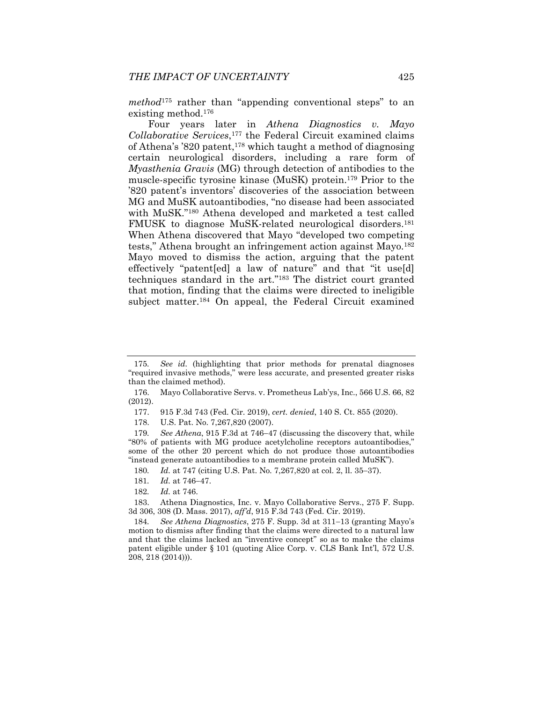*method*175 rather than "appending conventional steps" to an existing method.176

Four years later in *Athena Diagnostics v. Mayo Collaborative Services*,177 the Federal Circuit examined claims of Athena's '820 patent,178 which taught a method of diagnosing certain neurological disorders, including a rare form of *Myasthenia Gravis* (MG) through detection of antibodies to the muscle-specific tyrosine kinase (MuSK) protein.179 Prior to the '820 patent's inventors' discoveries of the association between MG and MuSK autoantibodies, "no disease had been associated with MuSK."180 Athena developed and marketed a test called FMUSK to diagnose MuSK-related neurological disorders.<sup>181</sup> When Athena discovered that Mayo "developed two competing tests," Athena brought an infringement action against Mayo.<sup>182</sup> Mayo moved to dismiss the action, arguing that the patent effectively "patent[ed] a law of nature" and that "it use[d] techniques standard in the art."183 The district court granted that motion, finding that the claims were directed to ineligible subject matter.184 On appeal, the Federal Circuit examined

<sup>175</sup>*. See id.* (highlighting that prior methods for prenatal diagnoses "required invasive methods," were less accurate, and presented greater risks than the claimed method).

 <sup>176.</sup> Mayo Collaborative Servs. v. Prometheus Lab'ys, Inc., 566 U.S. 66, 82 (2012).

 <sup>177. 915</sup> F.3d 743 (Fed. Cir. 2019), *cert. denied*, 140 S. Ct. 855 (2020).

 <sup>178.</sup> U.S. Pat. No. 7,267,820 (2007).

<sup>179.</sup> See Athena, 915 F.3d at 746-47 (discussing the discovery that, while "80% of patients with MG produce acetylcholine receptors autoantibodies," some of the other 20 percent which do not produce those autoantibodies "instead generate autoantibodies to a membrane protein called MuSK").

<sup>180.</sup> *Id.* at 747 (citing U.S. Pat. No. 7,267,820 at col. 2, ll. 35–37).

<sup>181.</sup> *Id.* at 746-47.

<sup>182</sup>*. Id.* at 746.

 <sup>183.</sup> Athena Diagnostics, Inc. v. Mayo Collaborative Servs., 275 F. Supp. 3d 306, 308 (D. Mass. 2017), *aff'd*, 915 F.3d 743 (Fed. Cir. 2019).

<sup>184.</sup> See Athena Diagnostics, 275 F. Supp. 3d at 311–13 (granting Mayo's motion to dismiss after finding that the claims were directed to a natural law and that the claims lacked an "inventive concept" so as to make the claims patent eligible under § 101 (quoting Alice Corp. v. CLS Bank Int'l, 572 U.S. 208, 218 (2014))).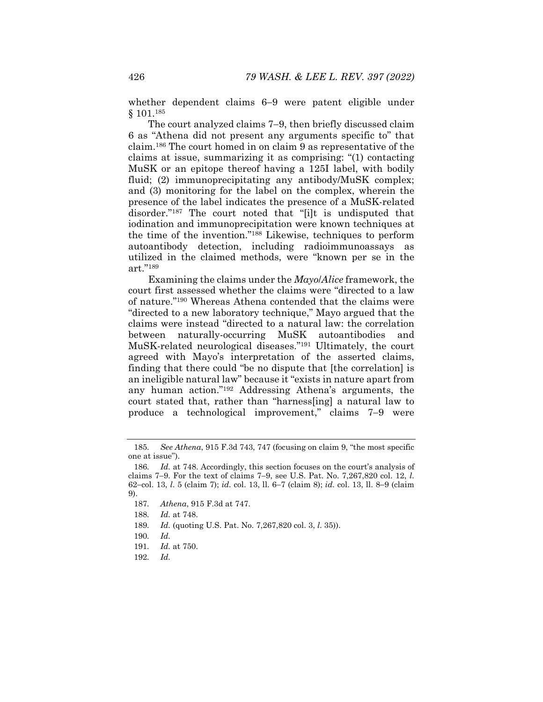whether dependent claims  $6-9$  were patent eligible under § 101.185

The court analyzed claims 7–9, then briefly discussed claim 6 as "Athena did not present any arguments specific to" that claim.186 The court homed in on claim 9 as representative of the claims at issue, summarizing it as comprising: "(1) contacting MuSK or an epitope thereof having a 125I label, with bodily fluid; (2) immunoprecipitating any antibody/MuSK complex; and (3) monitoring for the label on the complex, wherein the presence of the label indicates the presence of a MuSK-related disorder."187 The court noted that "[i]t is undisputed that iodination and immunoprecipitation were known techniques at the time of the invention."188 Likewise, techniques to perform autoantibody detection, including radioimmunoassays as utilized in the claimed methods, were "known per se in the art."189

Examining the claims under the *Mayo*/*Alice* framework, the court first assessed whether the claims were "directed to a law of nature."190 Whereas Athena contended that the claims were "directed to a new laboratory technique," Mayo argued that the claims were instead "directed to a natural law: the correlation between naturally-occurring MuSK autoantibodies and MuSK-related neurological diseases."191 Ultimately, the court agreed with Mayo's interpretation of the asserted claims, finding that there could "be no dispute that [the correlation] is an ineligible natural law" because it "exists in nature apart from any human action."192 Addressing Athena's arguments, the court stated that, rather than "harness[ing] a natural law to produce a technological improvement," claims 7–9 were

189*. Id.* (quoting U.S. Pat. No. 7,267,820 col. 3, *l*. 35)).

<sup>185</sup>*. See Athena*, 915 F.3d 743, 747 (focusing on claim 9, "the most specific one at issue").

<sup>186</sup>*. Id.* at 748. Accordingly, this section focuses on the court's analysis of claims 79. For the text of claims 79, see U.S. Pat. No. 7,267,820 col. 12, *l*. 62-col. 13, *l.* 5 (claim 7); *id.* col. 13, ll. 6-7 (claim 8); *id.* col. 13, ll. 8-9 (claim 9).

<sup>187</sup>*. Athena*, 915 F.3d at 747.

<sup>188</sup>*. Id.* at 748.

<sup>190</sup>*. Id.*

<sup>191</sup>*. Id.* at 750.

<sup>192</sup>*. Id.*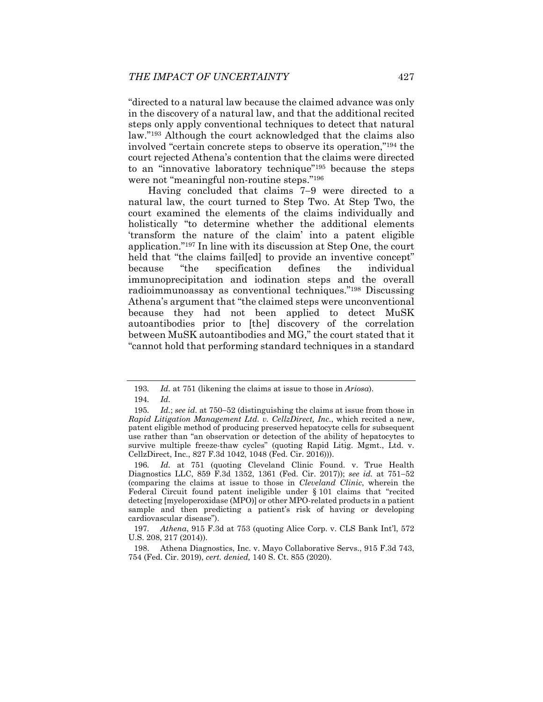"directed to a natural law because the claimed advance was only in the discovery of a natural law, and that the additional recited steps only apply conventional techniques to detect that natural law."193 Although the court acknowledged that the claims also involved "certain concrete steps to observe its operation,"194 the court rejected Athena's contention that the claims were directed to an "innovative laboratory technique"195 because the steps were not "meaningful non-routine steps."196

Having concluded that claims  $7-9$  were directed to a natural law, the court turned to Step Two. At Step Two, the court examined the elements of the claims individually and holistically "to determine whether the additional elements 'transform the nature of the claim' into a patent eligible application."197 In line with its discussion at Step One, the court held that "the claims failed to provide an inventive concept" because "the specification defines the individual immunoprecipitation and iodination steps and the overall radioimmunoassay as conventional techniques."198 Discussing Athena's argument that "the claimed steps were unconventional because they had not been applied to detect MuSK autoantibodies prior to [the] discovery of the correlation between MuSK autoantibodies and MG," the court stated that it "cannot hold that performing standard techniques in a standard

<sup>193</sup>*. Id.* at 751 (likening the claims at issue to those in *Ariosa*).

<sup>194</sup>*. Id.*

<sup>195.</sup> *Id.*; *see id.* at 750–52 (distinguishing the claims at issue from those in *Rapid Litigation Management Ltd. v. CellzDirect, Inc.*, which recited a new, patent eligible method of producing preserved hepatocyte cells for subsequent use rather than "an observation or detection of the ability of hepatocytes to survive multiple freeze-thaw cycles" (quoting Rapid Litig. Mgmt., Ltd. v. CellzDirect, Inc., 827 F.3d 1042, 1048 (Fed. Cir. 2016))).

<sup>196</sup>*. Id.* at 751 (quoting Cleveland Clinic Found. v. True Health Diagnostics LLC, 859 F.3d 1352, 1361 (Fed. Cir. 2017)); see id. at 751-52 (comparing the claims at issue to those in *Cleveland Clinic*, wherein the Federal Circuit found patent ineligible under § 101 claims that "recited detecting [myeloperoxidase (MPO)] or other MPO-related products in a patient sample and then predicting a patient's risk of having or developing cardiovascular disease").

<sup>197</sup>*. Athena*, 915 F.3d at 753 (quoting Alice Corp. v. CLS Bank Int'l, 572 U.S. 208, 217 (2014)).

 <sup>198.</sup> Athena Diagnostics, Inc. v. Mayo Collaborative Servs., 915 F.3d 743, 754 (Fed. Cir. 2019), *cert. denied,* 140 S. Ct. 855 (2020).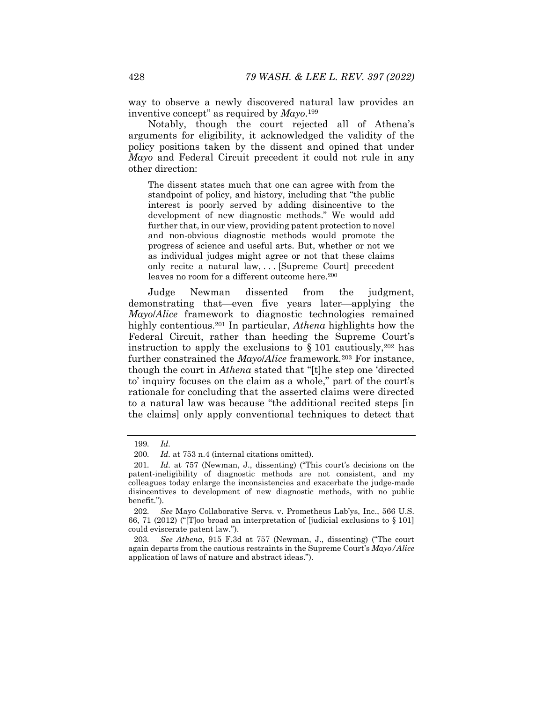way to observe a newly discovered natural law provides an inventive concept" as required by *Mayo*.199

Notably, though the court rejected all of Athena's arguments for eligibility, it acknowledged the validity of the policy positions taken by the dissent and opined that under *Mayo* and Federal Circuit precedent it could not rule in any other direction:

The dissent states much that one can agree with from the standpoint of policy, and history, including that "the public interest is poorly served by adding disincentive to the development of new diagnostic methods." We would add further that, in our view, providing patent protection to novel and non-obvious diagnostic methods would promote the progress of science and useful arts. But, whether or not we as individual judges might agree or not that these claims only recite a natural law, . . . [Supreme Court] precedent leaves no room for a different outcome here.<sup>200</sup>

Judge Newman dissented from the judgment, demonstrating that—even five years later—applying the *Mayo*/*Alice* framework to diagnostic technologies remained highly contentious.201 In particular, *Athena* highlights how the Federal Circuit, rather than heeding the Supreme Court's instruction to apply the exclusions to  $\S 101$  cautiously, <sup>202</sup> has further constrained the *Mayo*/*Alice* framework*.*<sup>203</sup> For instance, though the court in *Athena* stated that "[t]he step one 'directed to' inquiry focuses on the claim as a whole," part of the court's rationale for concluding that the asserted claims were directed to a natural law was because "the additional recited steps [in the claims] only apply conventional techniques to detect that

<sup>199</sup>*. Id.*

<sup>200</sup>*. Id.* at 753 n.4 (internal citations omitted).

<sup>201</sup>*. Id.* at 757 (Newman, J., dissenting) ("This court's decisions on the patent-ineligibility of diagnostic methods are not consistent, and my colleagues today enlarge the inconsistencies and exacerbate the judge-made disincentives to development of new diagnostic methods, with no public benefit.").

<sup>202</sup>*. See* Mayo Collaborative Servs. v. Prometheus Lab'ys, Inc., 566 U.S. 66, 71 (2012) ("[T]oo broad an interpretation of [judicial exclusions to § 101] could eviscerate patent law.").

<sup>203</sup>*. See Athena*, 915 F.3d at 757 (Newman, J., dissenting) ("The court again departs from the cautious restraints in the Supreme Court's *Mayo/Alice* application of laws of nature and abstract ideas.").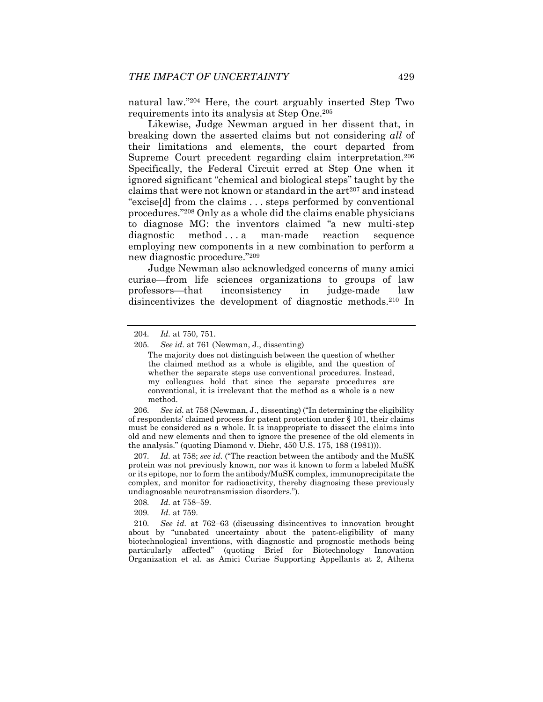natural law."204 Here, the court arguably inserted Step Two requirements into its analysis at Step One.205

Likewise, Judge Newman argued in her dissent that, in breaking down the asserted claims but not considering *all* of their limitations and elements, the court departed from Supreme Court precedent regarding claim interpretation.206 Specifically, the Federal Circuit erred at Step One when it ignored significant "chemical and biological steps" taught by the claims that were not known or standard in the art<sup>207</sup> and instead "excise[d] from the claims . . . steps performed by conventional procedures."208 Only as a whole did the claims enable physicians to diagnose MG: the inventors claimed "a new multi-step diagnostic method ... a man-made reaction sequence employing new components in a new combination to perform a new diagnostic procedure."209

Judge Newman also acknowledged concerns of many amici curiae—from life sciences organizations to groups of law professors—that inconsistency in judge-made law disincentivizes the development of diagnostic methods.210 In

206*. See id.* at 758 (Newman, J., dissenting) ("In determining the eligibility of respondents' claimed process for patent protection under § 101, their claims must be considered as a whole. It is inappropriate to dissect the claims into old and new elements and then to ignore the presence of the old elements in the analysis." (quoting Diamond v. Diehr, 450 U.S. 175, 188 (1981))).

207*. Id.* at 758; *see id.* ("The reaction between the antibody and the MuSK protein was not previously known, nor was it known to form a labeled MuSK or its epitope, nor to form the antibody/MuSK complex, immunoprecipitate the complex, and monitor for radioactivity, thereby diagnosing these previously undiagnosable neurotransmission disorders.").

- 208. *Id.* at 758-59.
- 209*. Id.* at 759.

210. See id. at 762-63 (discussing disincentives to innovation brought about by "unabated uncertainty about the patent-eligibility of many biotechnological inventions, with diagnostic and prognostic methods being particularly affected" (quoting Brief for Biotechnology Innovation Organization et al. as Amici Curiae Supporting Appellants at 2, Athena

<sup>204</sup>*. Id.* at 750, 751.

<sup>205</sup>*. See id.* at 761 (Newman, J., dissenting)

The majority does not distinguish between the question of whether the claimed method as a whole is eligible, and the question of whether the separate steps use conventional procedures. Instead, my colleagues hold that since the separate procedures are conventional, it is irrelevant that the method as a whole is a new method.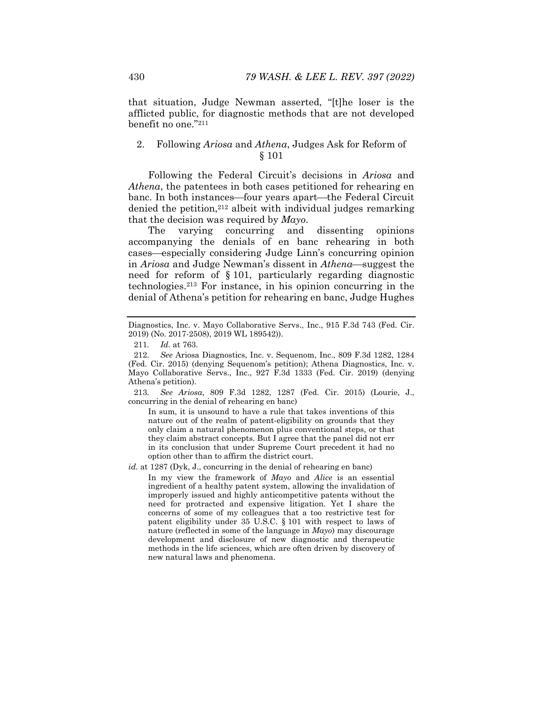that situation, Judge Newman asserted, "[t]he loser is the afflicted public, for diagnostic methods that are not developed benefit no one."211

# 2. Following *Ariosa* and *Athena*, Judges Ask for Reform of § 101

Following the Federal Circuit's decisions in *Ariosa* and *Athena*, the patentees in both cases petitioned for rehearing en banc. In both instances—four years apart—the Federal Circuit denied the petition,<sup>212</sup> albeit with individual judges remarking that the decision was required by *Mayo*.

The varying concurring and dissenting opinions accompanying the denials of en banc rehearing in both cases—especially considering Judge Linn's concurring opinion in *Ariosa* and Judge Newman's dissent in *Athena*—suggest the need for reform of § 101, particularly regarding diagnostic technologies.213 For instance, in his opinion concurring in the denial of Athena's petition for rehearing en banc, Judge Hughes

211*. Id.* at 763.

213*. See Ariosa*, 809 F.3d 1282, 1287 (Fed. Cir. 2015) (Lourie, J., concurring in the denial of rehearing en banc)

In sum, it is unsound to have a rule that takes inventions of this nature out of the realm of patent-eligibility on grounds that they only claim a natural phenomenon plus conventional steps, or that they claim abstract concepts. But I agree that the panel did not err in its conclusion that under Supreme Court precedent it had no option other than to affirm the district court.

*id.* at 1287 (Dyk, J., concurring in the denial of rehearing en banc)

In my view the framework of *Mayo* and *Alice* is an essential ingredient of a healthy patent system, allowing the invalidation of improperly issued and highly anticompetitive patents without the need for protracted and expensive litigation. Yet I share the concerns of some of my colleagues that a too restrictive test for patent eligibility under 35 U.S.C. § 101 with respect to laws of nature (reflected in some of the language in *Mayo*) may discourage development and disclosure of new diagnostic and therapeutic methods in the life sciences, which are often driven by discovery of new natural laws and phenomena.

Diagnostics, Inc. v. Mayo Collaborative Servs., Inc., 915 F.3d 743 (Fed. Cir. 2019) (No. 2017-2508), 2019 WL 189542)).

<sup>212</sup>*. See* Ariosa Diagnostics, Inc. v. Sequenom, Inc., 809 F.3d 1282, 1284 (Fed. Cir. 2015) (denying Sequenom's petition); Athena Diagnostics, Inc. v. Mayo Collaborative Servs., Inc., 927 F.3d 1333 (Fed. Cir. 2019) (denying Athena's petition).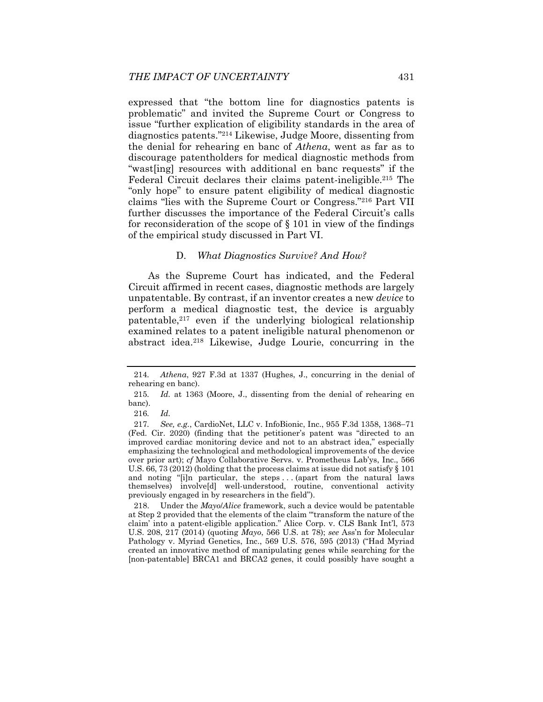expressed that "the bottom line for diagnostics patents is problematic" and invited the Supreme Court or Congress to issue "further explication of eligibility standards in the area of diagnostics patents."214 Likewise, Judge Moore, dissenting from the denial for rehearing en banc of *Athena*, went as far as to discourage patentholders for medical diagnostic methods from "wast[ing] resources with additional en banc requests" if the Federal Circuit declares their claims patent-ineligible.215 The "only hope" to ensure patent eligibility of medical diagnostic claims "lies with the Supreme Court or Congress."216 Part VII further discusses the importance of the Federal Circuit's calls for reconsideration of the scope of § 101 in view of the findings of the empirical study discussed in Part VI.

#### D. *What Diagnostics Survive? And How?*

As the Supreme Court has indicated, and the Federal Circuit affirmed in recent cases, diagnostic methods are largely unpatentable. By contrast, if an inventor creates a new *device* to perform a medical diagnostic test, the device is arguably patentable, $2^{17}$  even if the underlying biological relationship examined relates to a patent ineligible natural phenomenon or abstract idea.218 Likewise, Judge Lourie, concurring in the

<sup>214</sup>*. Athena*, 927 F.3d at 1337 (Hughes, J., concurring in the denial of rehearing en banc).

<sup>215</sup>*. Id.* at 1363 (Moore, J., dissenting from the denial of rehearing en banc).

<sup>216</sup>*. Id.*

<sup>217.</sup> See, e.g., CardioNet, LLC v. InfoBionic, Inc., 955 F.3d 1358, 1368-71 (Fed. Cir. 2020) (finding that the petitioner's patent was "directed to an improved cardiac monitoring device and not to an abstract idea," especially emphasizing the technological and methodological improvements of the device over prior art); *cf* Mayo Collaborative Servs. v. Prometheus Lab'ys, Inc., 566 U.S. 66, 73 (2012) (holding that the process claims at issue did not satisfy § 101 and noting "[i]n particular, the steps . . . (apart from the natural laws themselves) involve[d] well-understood, routine, conventional activity previously engaged in by researchers in the field").

 <sup>218.</sup> Under the *Mayo*/*Alice* framework, such a device would be patentable at Step 2 provided that the elements of the claim "'transform the nature of the claim' into a patent-eligible application." Alice Corp. v. CLS Bank Int'l, 573 U.S. 208, 217 (2014) (quoting *Mayo*, 566 U.S. at 78); *see* Ass'n for Molecular Pathology v. Myriad Genetics, Inc., 569 U.S. 576, 595 (2013) ("Had Myriad created an innovative method of manipulating genes while searching for the [non-patentable] BRCA1 and BRCA2 genes, it could possibly have sought a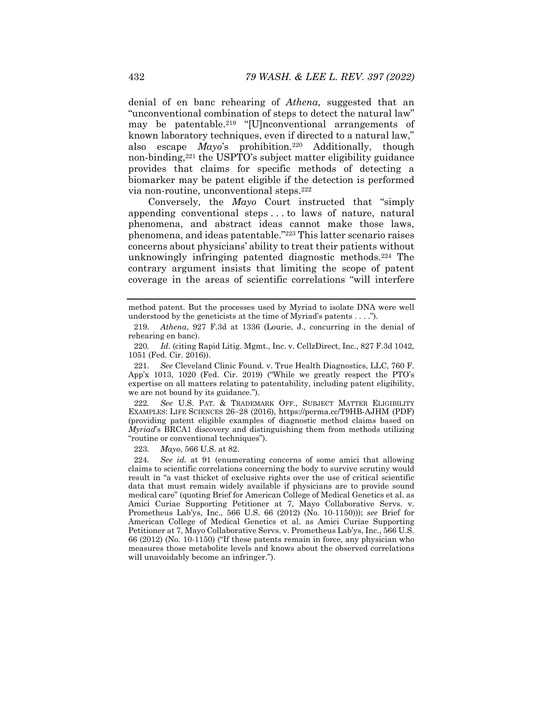denial of en banc rehearing of *Athena*, suggested that an "unconventional combination of steps to detect the natural law" may be patentable.219 "[U]nconventional arrangements of known laboratory techniques, even if directed to a natural law," also escape *Mayo*'s prohibition.220 Additionally, though non-binding,<sup>221</sup> the USPTO's subject matter eligibility guidance provides that claims for specific methods of detecting a biomarker may be patent eligible if the detection is performed via non-routine, unconventional steps.222

Conversely, the *Mayo* Court instructed that "simply appending conventional steps . . . to laws of nature, natural phenomena, and abstract ideas cannot make those laws, phenomena, and ideas patentable."223 This latter scenario raises concerns about physicians' ability to treat their patients without unknowingly infringing patented diagnostic methods.224 The contrary argument insists that limiting the scope of patent coverage in the areas of scientific correlations "will interfere

221*. See* Cleveland Clinic Found. v. True Health Diagnostics, LLC, 760 F. App'x 1013, 1020 (Fed. Cir. 2019) ("While we greatly respect the PTO's expertise on all matters relating to patentability, including patent eligibility, we are not bound by its guidance.").

222*. See* U.S. PAT. & TRADEMARK OFF., SUBJECT MATTER ELIGIBILITY EXAMPLES: LIFE SCIENCES 26-28 (2016), https://perma.cc/T9HB-AJHM (PDF) (providing patent eligible examples of diagnostic method claims based on *Myriad*'s BRCA1 discovery and distinguishing them from methods utilizing "routine or conventional techniques").

223*. Mayo*, 566 U.S. at 82.

224*. See id.* at 91 (enumerating concerns of some amici that allowing claims to scientific correlations concerning the body to survive scrutiny would result in "a vast thicket of exclusive rights over the use of critical scientific data that must remain widely available if physicians are to provide sound medical care" (quoting Brief for American College of Medical Genetics et al. as Amici Curiae Supporting Petitioner at 7, Mayo Collaborative Servs. v. Prometheus Lab'ys, Inc., 566 U.S. 66 (2012) (No. 10-1150))); *see* Brief for American College of Medical Genetics et al. as Amici Curiae Supporting Petitioner at 7, Mayo Collaborative Servs. v. Prometheus Lab'ys, Inc., 566 U.S. 66 (2012) (No. 10-1150) ("If these patents remain in force, any physician who measures those metabolite levels and knows about the observed correlations will unavoidably become an infringer.").

method patent. But the processes used by Myriad to isolate DNA were well understood by the geneticists at the time of Myriad's patents . . . .").

<sup>219</sup>*. Athena*, 927 F.3d at 1336 (Lourie, J., concurring in the denial of rehearing en banc).

<sup>220</sup>*. Id.* (citing Rapid Litig. Mgmt., Inc. v. CellzDirect, Inc., 827 F.3d 1042, 1051 (Fed. Cir. 2016)).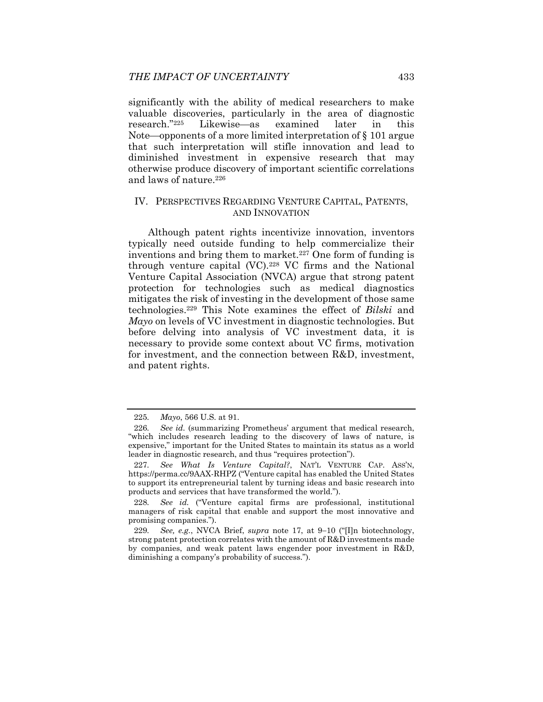significantly with the ability of medical researchers to make valuable discoveries, particularly in the area of diagnostic research."<sup>225</sup> Likewise—as examined later in this Note—opponents of a more limited interpretation of  $\S$  101 argue that such interpretation will stifle innovation and lead to diminished investment in expensive research that may otherwise produce discovery of important scientific correlations and laws of nature.226

# IV. PERSPECTIVES REGARDING VENTURE CAPITAL, PATENTS, AND INNOVATION

Although patent rights incentivize innovation, inventors typically need outside funding to help commercialize their inventions and bring them to market.<sup>227</sup> One form of funding is through venture capital (VC).228 VC firms and the National Venture Capital Association (NVCA) argue that strong patent protection for technologies such as medical diagnostics mitigates the risk of investing in the development of those same technologies.229 This Note examines the effect of *Bilski* and *Mayo* on levels of VC investment in diagnostic technologies. But before delving into analysis of VC investment data, it is necessary to provide some context about VC firms, motivation for investment, and the connection between R&D, investment, and patent rights.

<sup>225</sup>*. Mayo*, 566 U.S. at 91.

<sup>226</sup>*. See id.* (summarizing Prometheus' argument that medical research, "which includes research leading to the discovery of laws of nature, is expensive," important for the United States to maintain its status as a world leader in diagnostic research, and thus "requires protection").

<sup>227</sup>*. See What Is Venture Capital?*, NAT'L VENTURE CAP. ASS'N, https://perma.cc/9AAX-RHPZ ("Venture capital has enabled the United States to support its entrepreneurial talent by turning ideas and basic research into products and services that have transformed the world.").

<sup>228</sup>*. See id.* ("Venture capital firms are professional, institutional managers of risk capital that enable and support the most innovative and promising companies.").

<sup>229.</sup> See, e.g., NVCA Brief, *supra* note 17, at 9-10 ("Iln biotechnology, strong patent protection correlates with the amount of R&D investments made by companies, and weak patent laws engender poor investment in R&D, diminishing a company's probability of success.").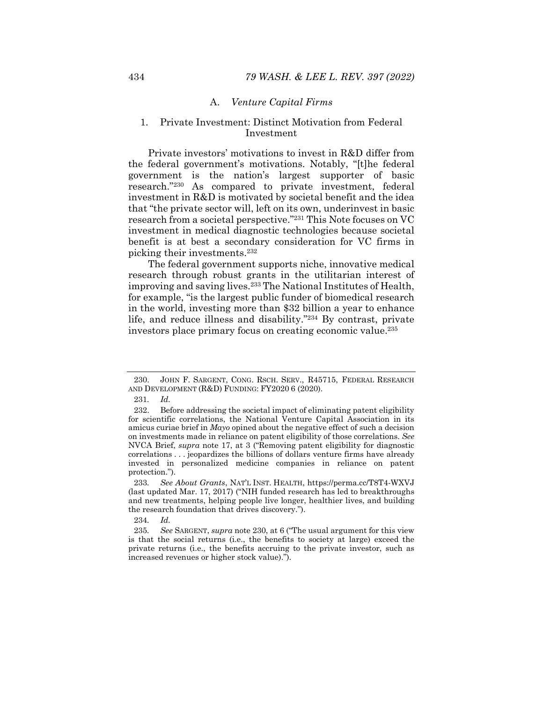### A. *Venture Capital Firms*

# 1. Private Investment: Distinct Motivation from Federal Investment

Private investors' motivations to invest in R&D differ from the federal government's motivations. Notably, "[t]he federal government is the nation's largest supporter of basic research."230 As compared to private investment, federal investment in R&D is motivated by societal benefit and the idea that "the private sector will, left on its own, underinvest in basic research from a societal perspective."231 This Note focuses on VC investment in medical diagnostic technologies because societal benefit is at best a secondary consideration for VC firms in picking their investments.232

The federal government supports niche, innovative medical research through robust grants in the utilitarian interest of improving and saving lives.233 The National Institutes of Health, for example, "is the largest public funder of biomedical research in the world, investing more than \$32 billion a year to enhance life, and reduce illness and disability."234 By contrast, private investors place primary focus on creating economic value.235

234*. Id.*

 <sup>230.</sup> JOHN F. SARGENT, CONG. RSCH. SERV., R45715, FEDERAL RESEARCH AND DEVELOPMENT (R&D) FUNDING: FY2020 6 (2020).

<sup>231</sup>*. Id.*

 <sup>232.</sup> Before addressing the societal impact of eliminating patent eligibility for scientific correlations, the National Venture Capital Association in its amicus curiae brief in *Mayo* opined about the negative effect of such a decision on investments made in reliance on patent eligibility of those correlations. *See*  NVCA Brief, *supra* note 17, at 3 ("Removing patent eligibility for diagnostic correlations . . . jeopardizes the billions of dollars venture firms have already invested in personalized medicine companies in reliance on patent protection.").

<sup>233</sup>*. See About Grants*, NAT'L INST. HEALTH, https://perma.cc/T8T4-WXVJ (last updated Mar. 17, 2017) ("NIH funded research has led to breakthroughs and new treatments, helping people live longer, healthier lives, and building the research foundation that drives discovery.").

<sup>235</sup>*. See* SARGENT, *supra* note 230, at 6 ("The usual argument for this view is that the social returns (i.e., the benefits to society at large) exceed the private returns (i.e., the benefits accruing to the private investor, such as increased revenues or higher stock value).").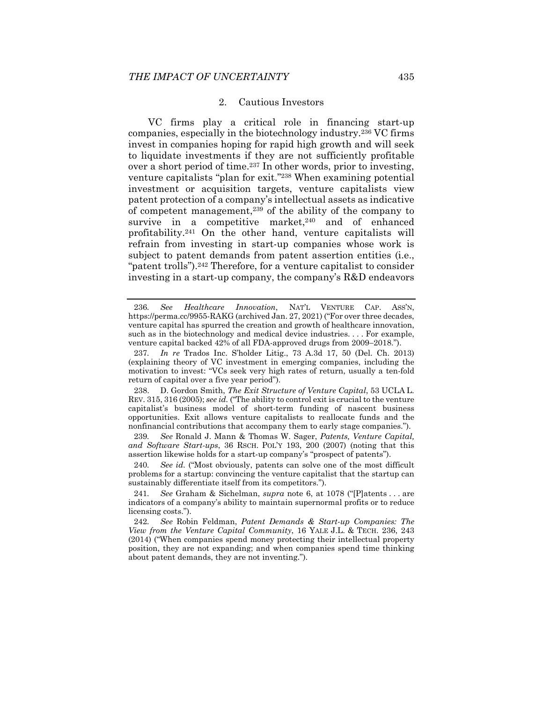#### 2. Cautious Investors

VC firms play a critical role in financing start-up companies, especially in the biotechnology industry.236 VC firms invest in companies hoping for rapid high growth and will seek to liquidate investments if they are not sufficiently profitable over a short period of time.237 In other words, prior to investing, venture capitalists "plan for exit."238 When examining potential investment or acquisition targets, venture capitalists view patent protection of a company's intellectual assets as indicative of competent management,239 of the ability of the company to survive in a competitive market, $240$  and of enhanced profitability.241 On the other hand, venture capitalists will refrain from investing in start-up companies whose work is subject to patent demands from patent assertion entities (i.e., "patent trolls").<sup>242</sup> Therefore, for a venture capitalist to consider investing in a start-up company, the company's R&D endeavors

 238. D. Gordon Smith, *The Exit Structure of Venture Capital*, 53 UCLA L. REV. 315, 316 (2005); *see id.* ("The ability to control exit is crucial to the venture capitalist's business model of short-term funding of nascent business opportunities. Exit allows venture capitalists to reallocate funds and the nonfinancial contributions that accompany them to early stage companies.").

239*. See* Ronald J. Mann & Thomas W. Sager, *Patents, Venture Capital, and Software Start-ups*, 36 RSCH. POL'Y 193, 200 (2007) (noting that this assertion likewise holds for a start-up company's "prospect of patents").

240*. See id.* ("Most obviously, patents can solve one of the most difficult problems for a startup: convincing the venture capitalist that the startup can sustainably differentiate itself from its competitors.").

241*. See* Graham & Sichelman, *supra* note 6, at 1078 ("[P]atents . . . are indicators of a company's ability to maintain supernormal profits or to reduce licensing costs.").

242*. See* Robin Feldman, *Patent Demands & Start-up Companies: The View from the Venture Capital Community*, 16 YALE J.L. & TECH. 236, 243 (2014) ("When companies spend money protecting their intellectual property position, they are not expanding; and when companies spend time thinking about patent demands, they are not inventing.").

<sup>236</sup>*. See Healthcare Innovation*, NAT'L VENTURE CAP. ASS'N, https://perma.cc/9955-RAKG (archived Jan. 27, 2021) ("For over three decades, venture capital has spurred the creation and growth of healthcare innovation, such as in the biotechnology and medical device industries. . . . For example, venture capital backed  $42\%$  of all FDA-approved drugs from  $2009-2018$ .").

<sup>237</sup>*. In re* Trados Inc. S'holder Litig., 73 A.3d 17, 50 (Del. Ch. 2013) (explaining theory of VC investment in emerging companies, including the motivation to invest: "VCs seek very high rates of return, usually a ten-fold return of capital over a five year period").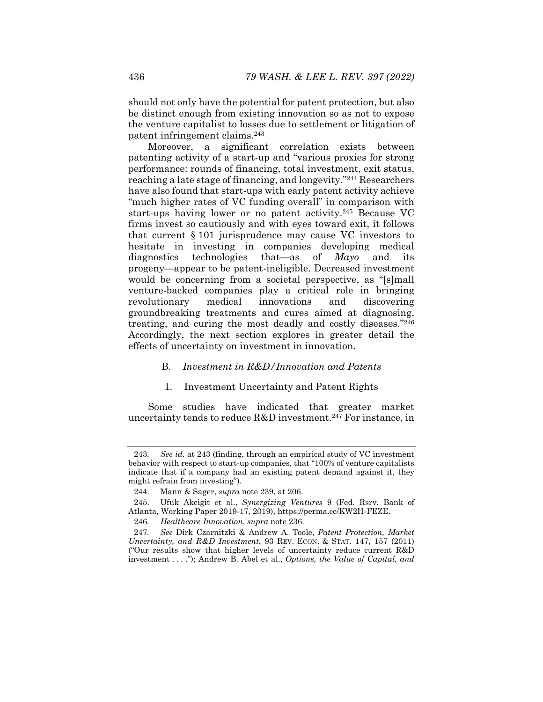should not only have the potential for patent protection, but also be distinct enough from existing innovation so as not to expose the venture capitalist to losses due to settlement or litigation of patent infringement claims.243

Moreover, a significant correlation exists between patenting activity of a start-up and "various proxies for strong performance: rounds of financing, total investment, exit status, reaching a late stage of financing, and longevity."244 Researchers have also found that start-ups with early patent activity achieve "much higher rates of VC funding overall" in comparison with start-ups having lower or no patent activity.245 Because VC firms invest so cautiously and with eyes toward exit, it follows that current § 101 jurisprudence may cause VC investors to hesitate in investing in companies developing medical diagnostics technologies that—as of *Mayo* and its progeny—appear to be patent-ineligible. Decreased investment would be concerning from a societal perspective, as "[s]mall venture-backed companies play a critical role in bringing revolutionary medical innovations and discovering groundbreaking treatments and cures aimed at diagnosing, treating, and curing the most deadly and costly diseases."246 Accordingly, the next section explores in greater detail the effects of uncertainty on investment in innovation.

#### B. *Investment in R&D/Innovation and Patents*

#### 1. Investment Uncertainty and Patent Rights

Some studies have indicated that greater market uncertainty tends to reduce R&D investment.247 For instance, in

<sup>243</sup>*. See id.* at 243 (finding, through an empirical study of VC investment behavior with respect to start-up companies, that "100% of venture capitalists indicate that if a company had an existing patent demand against it, they might refrain from investing").

 <sup>244.</sup> Mann & Sager, *supra* note 239, at 206.

 <sup>245.</sup> Ufuk Akcigit et al., *Synergizing Ventures* 9 (Fed. Rsrv. Bank of Atlanta, Working Paper 2019-17, 2019), https://perma.cc/KW2H-FEZE.

<sup>246</sup>*. Healthcare Innovation*, *supra* note 236.

<sup>247</sup>*. See* Dirk Czarnitzki & Andrew A. Toole, *Patent Protection, Market Uncertainty, and R&D Investment*, 93 REV. ECON. & STAT. 147, 157 (2011) ("Our results show that higher levels of uncertainty reduce current R&D investment . . . ."); Andrew B. Abel et al., *Options, the Value of Capital, and*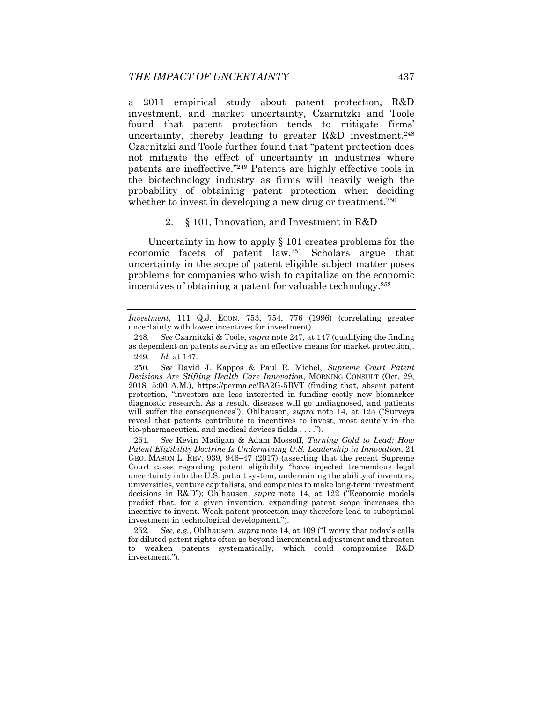a 2011 empirical study about patent protection, R&D investment, and market uncertainty, Czarnitzki and Toole found that patent protection tends to mitigate firms' uncertainty, thereby leading to greater R&D investment.248 Czarnitzki and Toole further found that "patent protection does not mitigate the effect of uncertainty in industries where patents are ineffective."249 Patents are highly effective tools in the biotechnology industry as firms will heavily weigh the probability of obtaining patent protection when deciding whether to invest in developing a new drug or treatment.<sup>250</sup>

#### 2. § 101, Innovation, and Investment in R&D

Uncertainty in how to apply § 101 creates problems for the economic facets of patent law.251 Scholars argue that uncertainty in the scope of patent eligible subject matter poses problems for companies who wish to capitalize on the economic incentives of obtaining a patent for valuable technology.252

*Investment*, 111 Q.J. ECON. 753, 754, 776 (1996) (correlating greater uncertainty with lower incentives for investment).

<sup>248</sup>*. See* Czarnitzki & Toole, *supra* note 247, at 147 (qualifying the finding as dependent on patents serving as an effective means for market protection). 249*. Id.* at 147.

<sup>250</sup>*. See* David J. Kappos & Paul R. Michel, *Supreme Court Patent Decisions Are Stifling Health Care Innovation*, MORNING CONSULT (Oct. 29, 2018, 5:00 A.M.), https://perma.cc/BA2G-5BVT (finding that, absent patent protection, "investors are less interested in funding costly new biomarker diagnostic research. As a result, diseases will go undiagnosed, and patients will suffer the consequences"); Ohlhausen, *supra* note 14, at 125 ("Surveys reveal that patents contribute to incentives to invest, most acutely in the bio-pharmaceutical and medical devices fields . . . .").

<sup>251</sup>*. See* Kevin Madigan & Adam Mossoff, *Turning Gold to Lead: How Patent Eligibility Doctrine Is Undermining U.S. Leadership in Innovation*, 24 GEO. MASON L. REV. 939, 946-47 (2017) (asserting that the recent Supreme Court cases regarding patent eligibility "have injected tremendous legal uncertainty into the U.S. patent system, undermining the ability of inventors, universities, venture capitalists, and companies to make long-term investment decisions in R&D"); Ohlhausen, *supra* note 14, at 122 ("Economic models predict that, for a given invention, expanding patent scope increases the incentive to invent. Weak patent protection may therefore lead to suboptimal investment in technological development.").

<sup>252</sup>*. See, e.g.*, Ohlhausen, *supra* note 14, at 109 ("I worry that today's calls for diluted patent rights often go beyond incremental adjustment and threaten to weaken patents systematically, which could compromise R&D investment.").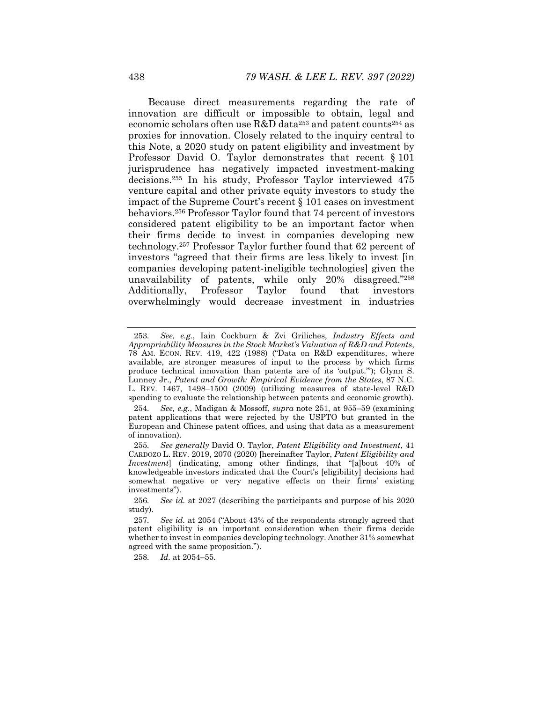Because direct measurements regarding the rate of innovation are difficult or impossible to obtain, legal and economic scholars often use  $R&D$  data<sup>253</sup> and patent counts<sup>254</sup> as proxies for innovation. Closely related to the inquiry central to this Note, a 2020 study on patent eligibility and investment by Professor David O. Taylor demonstrates that recent § 101 jurisprudence has negatively impacted investment-making decisions.255 In his study, Professor Taylor interviewed 475 venture capital and other private equity investors to study the impact of the Supreme Court's recent § 101 cases on investment behaviors.256 Professor Taylor found that 74 percent of investors considered patent eligibility to be an important factor when their firms decide to invest in companies developing new technology.257 Professor Taylor further found that 62 percent of investors "agreed that their firms are less likely to invest [in companies developing patent-ineligible technologies] given the unavailability of patents, while only 20% disagreed."258 Additionally, Professor Taylor found that investors overwhelmingly would decrease investment in industries

258*. Id.* at 2054–55.

<sup>253</sup>*. See, e.g.*, Iain Cockburn & Zvi Griliches, *Industry Effects and Appropriability Measures in the Stock Market's Valuation of R&D and Patents*, 78 AM. ECON. REV. 419, 422 (1988) ("Data on R&D expenditures, where available, are stronger measures of input to the process by which firms produce technical innovation than patents are of its 'output.'"); Glynn S. Lunney Jr., *Patent and Growth: Empirical Evidence from the States*, 87 N.C. L. REV. 1467, 1498-1500 (2009) (utilizing measures of state-level R&D spending to evaluate the relationship between patents and economic growth).

<sup>254</sup>*. See, e.g.*, Madigan & Mossoff, *supra* note 251, at 955–59 (examining patent applications that were rejected by the USPTO but granted in the European and Chinese patent offices, and using that data as a measurement of innovation).

<sup>255</sup>*. See generally* David O. Taylor, *Patent Eligibility and Investment*, 41 CARDOZO L. REV. 2019, 2070 (2020) [hereinafter Taylor, *Patent Eligibility and Investment*] (indicating, among other findings, that "[a]bout 40% of knowledgeable investors indicated that the Court's [eligibility] decisions had somewhat negative or very negative effects on their firms' existing investments").

<sup>256</sup>*. See id.* at 2027 (describing the participants and purpose of his 2020 study).

<sup>257</sup>*. See id.* at 2054 ("About 43% of the respondents strongly agreed that patent eligibility is an important consideration when their firms decide whether to invest in companies developing technology. Another 31% somewhat agreed with the same proposition.").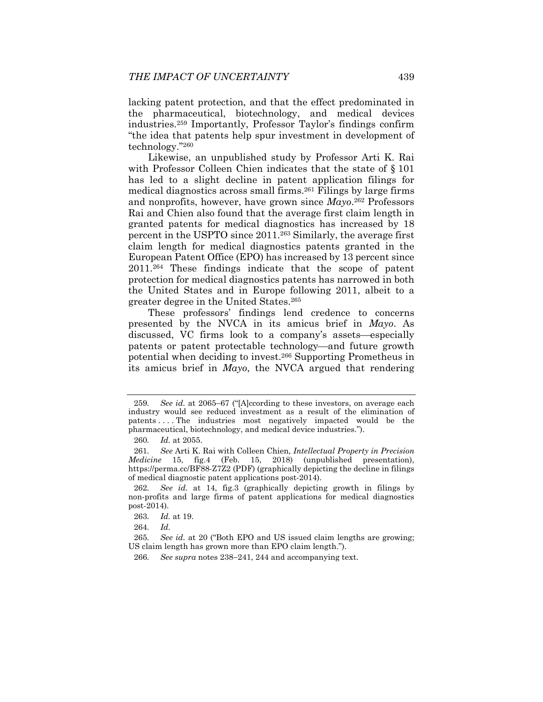lacking patent protection, and that the effect predominated in the pharmaceutical, biotechnology, and medical devices industries.259 Importantly, Professor Taylor's findings confirm "the idea that patents help spur investment in development of technology."260

Likewise, an unpublished study by Professor Arti K. Rai with Professor Colleen Chien indicates that the state of § 101 has led to a slight decline in patent application filings for medical diagnostics across small firms.261 Filings by large firms and nonprofits, however, have grown since *Mayo*.262 Professors Rai and Chien also found that the average first claim length in granted patents for medical diagnostics has increased by 18 percent in the USPTO since 2011.263 Similarly, the average first claim length for medical diagnostics patents granted in the European Patent Office (EPO) has increased by 13 percent since 2011.264 These findings indicate that the scope of patent protection for medical diagnostics patents has narrowed in both the United States and in Europe following 2011, albeit to a greater degree in the United States.265

These professors' findings lend credence to concerns presented by the NVCA in its amicus brief in *Mayo*. As discussed, VC firms look to a company's assets-especially patents or patent protectable technology—and future growth potential when deciding to invest.266 Supporting Prometheus in its amicus brief in *Mayo*, the NVCA argued that rendering

<sup>259.</sup> See id. at 2065–67 ("[A]ccording to these investors, on average each industry would see reduced investment as a result of the elimination of patents . . . . The industries most negatively impacted would be the pharmaceutical, biotechnology, and medical device industries.").

<sup>260</sup>*. Id.* at 2055.

<sup>261</sup>*. See* Arti K. Rai with Colleen Chien, *Intellectual Property in Precision Medicine* 15, fig.4 (Feb. 15, 2018) (unpublished presentation), https://perma.cc/BF88-Z7Z2 (PDF) (graphically depicting the decline in filings of medical diagnostic patent applications post-2014).

<sup>262</sup>*. See id.* at 14, fig.3 (graphically depicting growth in filings by non-profits and large firms of patent applications for medical diagnostics post-2014).

<sup>263</sup>*. Id.* at 19.

<sup>264</sup>*. Id.*

<sup>265</sup>*. See id.* at 20 ("Both EPO and US issued claim lengths are growing; US claim length has grown more than EPO claim length.").

<sup>266.</sup> See supra notes  $238-241$ ,  $244$  and accompanying text.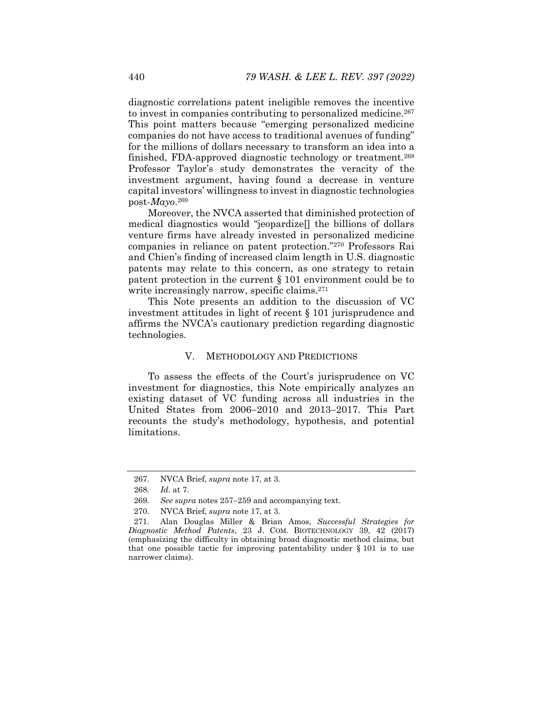diagnostic correlations patent ineligible removes the incentive to invest in companies contributing to personalized medicine.<sup>267</sup> This point matters because "emerging personalized medicine companies do not have access to traditional avenues of funding" for the millions of dollars necessary to transform an idea into a finished, FDA-approved diagnostic technology or treatment.268 Professor Taylor's study demonstrates the veracity of the investment argument, having found a decrease in venture capital investors' willingness to invest in diagnostic technologies post-*Mayo*.269

Moreover, the NVCA asserted that diminished protection of medical diagnostics would "jeopardize[] the billions of dollars venture firms have already invested in personalized medicine companies in reliance on patent protection."270 Professors Rai and Chien's finding of increased claim length in U.S. diagnostic patents may relate to this concern, as one strategy to retain patent protection in the current § 101 environment could be to write increasingly narrow, specific claims.<sup>271</sup>

This Note presents an addition to the discussion of VC investment attitudes in light of recent § 101 jurisprudence and affirms the NVCA's cautionary prediction regarding diagnostic technologies.

# V. METHODOLOGY AND PREDICTIONS

To assess the effects of the Court's jurisprudence on VC investment for diagnostics, this Note empirically analyzes an existing dataset of VC funding across all industries in the United States from  $2006-2010$  and  $2013-2017$ . This Part recounts the study's methodology, hypothesis, and potential limitations.

 <sup>267.</sup> NVCA Brief, *supra* note 17, at 3.

<sup>268</sup>*. Id.* at 7.

<sup>269.</sup> See supra notes 257–259 and accompanying text.

 <sup>270.</sup> NVCA Brief, *supra* note 17, at 3.

 <sup>271.</sup> Alan Douglas Miller & Brian Amos, *Successful Strategies for Diagnostic Method Patents*, 23 J. COM. BIOTECHNOLOGY 39, 42 (2017) (emphasizing the difficulty in obtaining broad diagnostic method claims, but that one possible tactic for improving patentability under  $\S 101$  is to use narrower claims).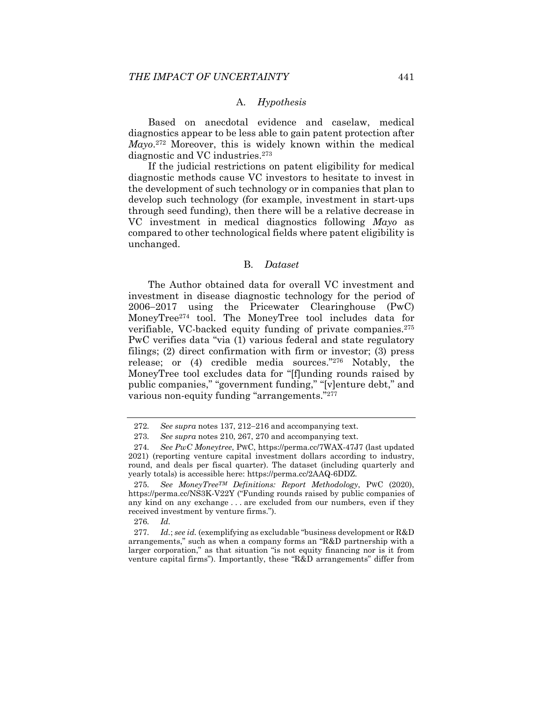# A. *Hypothesis*

Based on anecdotal evidence and caselaw, medical diagnostics appear to be less able to gain patent protection after *Mayo*.272 Moreover, this is widely known within the medical diagnostic and VC industries.273

If the judicial restrictions on patent eligibility for medical diagnostic methods cause VC investors to hesitate to invest in the development of such technology or in companies that plan to develop such technology (for example, investment in start-ups through seed funding), then there will be a relative decrease in VC investment in medical diagnostics following *Mayo* as compared to other technological fields where patent eligibility is unchanged.

#### B. *Dataset*

The Author obtained data for overall VC investment and investment in disease diagnostic technology for the period of  $2006-2017$  using the Pricewater Clearinghouse (PwC) MoneyTree274 tool. The MoneyTree tool includes data for verifiable, VC-backed equity funding of private companies.275 PwC verifies data "via (1) various federal and state regulatory filings; (2) direct confirmation with firm or investor; (3) press release; or (4) credible media sources."276 Notably, the MoneyTree tool excludes data for "[f]unding rounds raised by public companies," "government funding," "[v]enture debt," and various non-equity funding "arrangements."277

276*. Id.* 

277*. Id.*; *see id.* (exemplifying as excludable "business development or R&D arrangements," such as when a company forms an "R&D partnership with a larger corporation," as that situation "is not equity financing nor is it from venture capital firms"). Importantly, these "R&D arrangements" differ from

<sup>272.</sup> See supra notes 137, 212–216 and accompanying text.

<sup>273</sup>*. See supra* notes 210, 267, 270 and accompanying text.

<sup>274</sup>*. See PwC Moneytree*, PWC, https://perma.cc/7WAX-47J7 (last updated 2021) (reporting venture capital investment dollars according to industry, round, and deals per fiscal quarter). The dataset (including quarterly and yearly totals) is accessible here: https://perma.cc/2AAQ-6DDZ.

<sup>275</sup>*. See MoneyTreeTM Definitions: Report Methodology*, PWC (2020), https://perma.cc/NS3K-V22Y ("Funding rounds raised by public companies of any kind on any exchange . . . are excluded from our numbers, even if they received investment by venture firms.").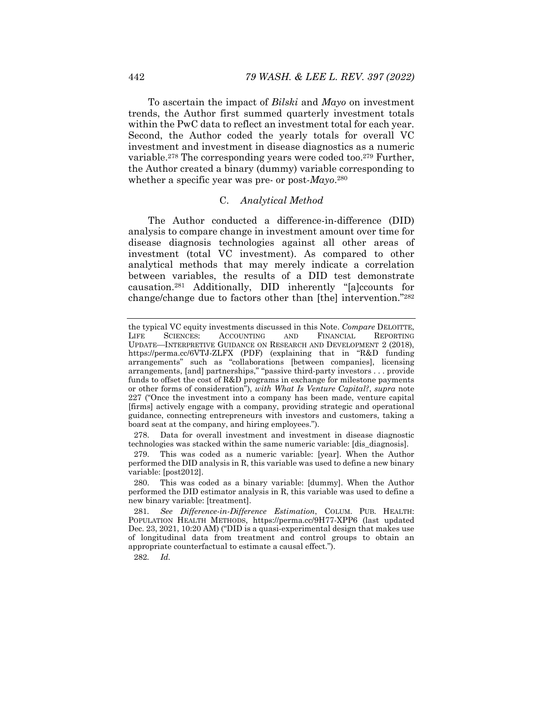To ascertain the impact of *Bilski* and *Mayo* on investment trends, the Author first summed quarterly investment totals within the PwC data to reflect an investment total for each year. Second, the Author coded the yearly totals for overall VC investment and investment in disease diagnostics as a numeric variable.278 The corresponding years were coded too.279 Further, the Author created a binary (dummy) variable corresponding to whether a specific year was pre- or post-*Mayo*.280

# C. *Analytical Method*

The Author conducted a difference-in-difference (DID) analysis to compare change in investment amount over time for disease diagnosis technologies against all other areas of investment (total VC investment). As compared to other analytical methods that may merely indicate a correlation between variables, the results of a DID test demonstrate causation.281 Additionally, DID inherently "[a]ccounts for change/change due to factors other than [the] intervention."282

282*. Id.*

the typical VC equity investments discussed in this Note. *Compare* DELOITTE, LIFE SCIENCES: ACCOUNTING AND FINANCIAL REPORTING UPDATE—INTERPRETIVE GUIDANCE ON RESEARCH AND DEVELOPMENT 2 (2018). https://perma.cc/6VTJ-ZLFX (PDF) (explaining that in "R&D funding arrangements" such as "collaborations [between companies], licensing arrangements, [and] partnerships," "passive third-party investors . . . provide funds to offset the cost of R&D programs in exchange for milestone payments or other forms of consideration"), *with What Is Venture Capital?*, *supra* note 227 ("Once the investment into a company has been made, venture capital [firms] actively engage with a company, providing strategic and operational guidance, connecting entrepreneurs with investors and customers, taking a board seat at the company, and hiring employees.").

 <sup>278.</sup> Data for overall investment and investment in disease diagnostic technologies was stacked within the same numeric variable: [dis\_diagnosis].

 <sup>279.</sup> This was coded as a numeric variable: [year]. When the Author performed the DID analysis in R, this variable was used to define a new binary variable: [post2012].

 <sup>280.</sup> This was coded as a binary variable: [dummy]. When the Author performed the DID estimator analysis in R, this variable was used to define a new binary variable: [treatment].

<sup>281</sup>*. See Difference-in-Difference Estimation*, COLUM. PUB. HEALTH: POPULATION HEALTH METHODS, https://perma.cc/9H77-XPP6 (last updated Dec. 23, 2021, 10:20 AM) ("DID is a quasi-experimental design that makes use of longitudinal data from treatment and control groups to obtain an appropriate counterfactual to estimate a causal effect.").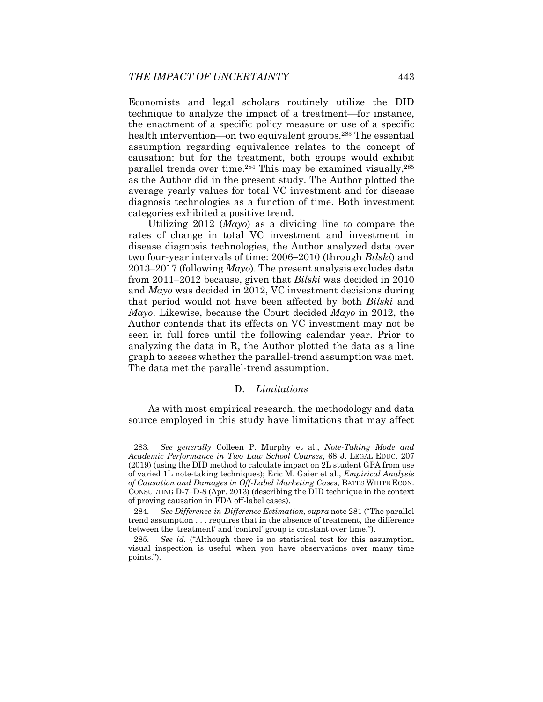Economists and legal scholars routinely utilize the DID technique to analyze the impact of a treatment—for instance, the enactment of a specific policy measure or use of a specific health intervention—on two equivalent groups.<sup>283</sup> The essential assumption regarding equivalence relates to the concept of causation: but for the treatment, both groups would exhibit parallel trends over time.284 This may be examined visually,285 as the Author did in the present study. The Author plotted the average yearly values for total VC investment and for disease diagnosis technologies as a function of time. Both investment categories exhibited a positive trend.

Utilizing 2012 (*Mayo*) as a dividing line to compare the rates of change in total VC investment and investment in disease diagnosis technologies, the Author analyzed data over two four-year intervals of time: 2006–2010 (through *Bilski*) and  $2013-2017$  (following *Mayo*). The present analysis excludes data from 2011–2012 because, given that *Bilski* was decided in 2010 and *Mayo* was decided in 2012, VC investment decisions during that period would not have been affected by both *Bilski* and *Mayo*. Likewise, because the Court decided *Mayo* in 2012, the Author contends that its effects on VC investment may not be seen in full force until the following calendar year. Prior to analyzing the data in R, the Author plotted the data as a line graph to assess whether the parallel-trend assumption was met. The data met the parallel-trend assumption.

# D. *Limitations*

As with most empirical research, the methodology and data source employed in this study have limitations that may affect

<sup>283</sup>*. See generally* Colleen P. Murphy et al., *Note-Taking Mode and Academic Performance in Two Law School Courses*, 68 J. LEGAL EDUC. 207 (2019) (using the DID method to calculate impact on 2L student GPA from use of varied 1L note-taking techniques); Eric M. Gaier et al., *Empirical Analysis of Causation and Damages in Off-Label Marketing Cases*, BATES WHITE ECON. CONSULTING D-7-D-8 (Apr. 2013) (describing the DID technique in the context of proving causation in FDA off-label cases).

<sup>284</sup>*. See Difference-in-Difference Estimation*, *supra* note 281 ("The parallel trend assumption . . . requires that in the absence of treatment, the difference between the 'treatment' and 'control' group is constant over time.").

<sup>285</sup>*. See id.* ("Although there is no statistical test for this assumption, visual inspection is useful when you have observations over many time points.").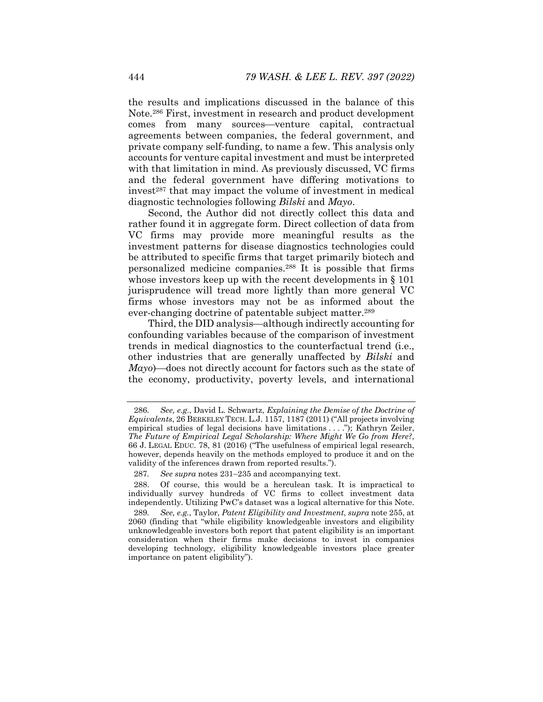the results and implications discussed in the balance of this Note.286 First, investment in research and product development comes from many sources—venture capital, contractual agreements between companies, the federal government, and private company self-funding, to name a few. This analysis only accounts for venture capital investment and must be interpreted with that limitation in mind. As previously discussed, VC firms and the federal government have differing motivations to invest<sup>287</sup> that may impact the volume of investment in medical diagnostic technologies following *Bilski* and *Mayo*.

Second, the Author did not directly collect this data and rather found it in aggregate form. Direct collection of data from VC firms may provide more meaningful results as the investment patterns for disease diagnostics technologies could be attributed to specific firms that target primarily biotech and personalized medicine companies.288 It is possible that firms whose investors keep up with the recent developments in § 101 jurisprudence will tread more lightly than more general VC firms whose investors may not be as informed about the ever-changing doctrine of patentable subject matter.289

Third, the DID analysis—although indirectly accounting for confounding variables because of the comparison of investment trends in medical diagnostics to the counterfactual trend (i.e., other industries that are generally unaffected by *Bilski* and *Mayo*)—does not directly account for factors such as the state of the economy, productivity, poverty levels, and international

<sup>286</sup>*. See, e.g.*, David L. Schwartz, *Explaining the Demise of the Doctrine of Equivalents*, 26 BERKELEY TECH. L.J. 1157, 1187 (2011) ("All projects involving empirical studies of legal decisions have limitations . . . ."); Kathryn Zeiler, *The Future of Empirical Legal Scholarship: Where Might We Go from Here?*, 66 J. LEGAL EDUC. 78, 81 (2016) ("The usefulness of empirical legal research, however, depends heavily on the methods employed to produce it and on the validity of the inferences drawn from reported results.").

<sup>287.</sup> See supra notes 231–235 and accompanying text.

 <sup>288.</sup> Of course, this would be a herculean task. It is impractical to individually survey hundreds of VC firms to collect investment data independently. Utilizing PwC's dataset was a logical alternative for this Note.

<sup>289</sup>*. See, e.g.*, Taylor, *Patent Eligibility and Investment*, *supra* note 255, at 2060 (finding that "while eligibility knowledgeable investors and eligibility unknowledgeable investors both report that patent eligibility is an important consideration when their firms make decisions to invest in companies developing technology, eligibility knowledgeable investors place greater importance on patent eligibility").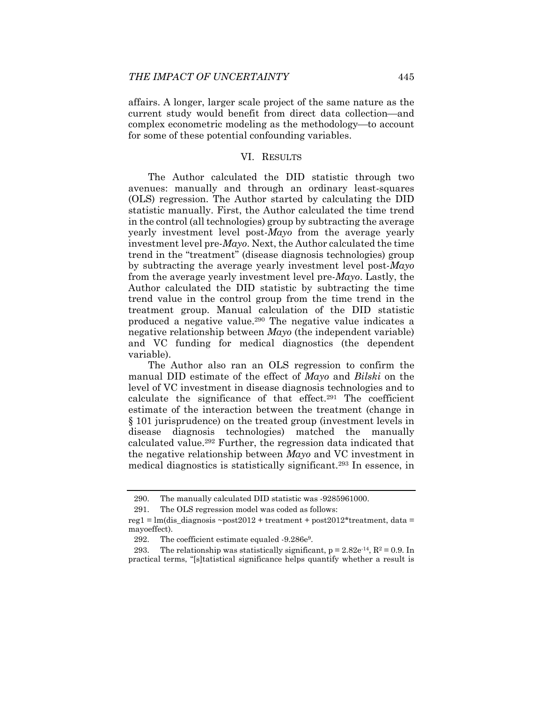affairs. A longer, larger scale project of the same nature as the current study would benefit from direct data collection-and complex econometric modeling as the methodology—to account for some of these potential confounding variables.

#### VI. RESULTS

The Author calculated the DID statistic through two avenues: manually and through an ordinary least-squares (OLS) regression. The Author started by calculating the DID statistic manually. First, the Author calculated the time trend in the control (all technologies) group by subtracting the average yearly investment level post-*Mayo* from the average yearly investment level pre-*Mayo*. Next, the Author calculated the time trend in the "treatment" (disease diagnosis technologies) group by subtracting the average yearly investment level post-*Mayo*  from the average yearly investment level pre-*Mayo*. Lastly, the Author calculated the DID statistic by subtracting the time trend value in the control group from the time trend in the treatment group. Manual calculation of the DID statistic produced a negative value.290 The negative value indicates a negative relationship between *Mayo* (the independent variable) and VC funding for medical diagnostics (the dependent variable).

The Author also ran an OLS regression to confirm the manual DID estimate of the effect of *Mayo* and *Bilski* on the level of VC investment in disease diagnosis technologies and to calculate the significance of that effect.291 The coefficient estimate of the interaction between the treatment (change in § 101 jurisprudence) on the treated group (investment levels in disease diagnosis technologies) matched the manually calculated value.292 Further, the regression data indicated that the negative relationship between *Mayo* and VC investment in medical diagnostics is statistically significant.293 In essence, in

 <sup>290.</sup> The manually calculated DID statistic was -9285961000.

 <sup>291.</sup> The OLS regression model was coded as follows:

reg1 =  $lm$ (dis diagnosis ~post2012 + treatment + post2012\*treatment, data = mayoeffect).

<sup>292.</sup> The coefficient estimate equaled -9.286e<sup>9</sup>.

<sup>293.</sup> The relationship was statistically significant,  $p = 2.82e^{-14}$ ,  $R^2 = 0.9$ . In practical terms, "[s]tatistical significance helps quantify whether a result is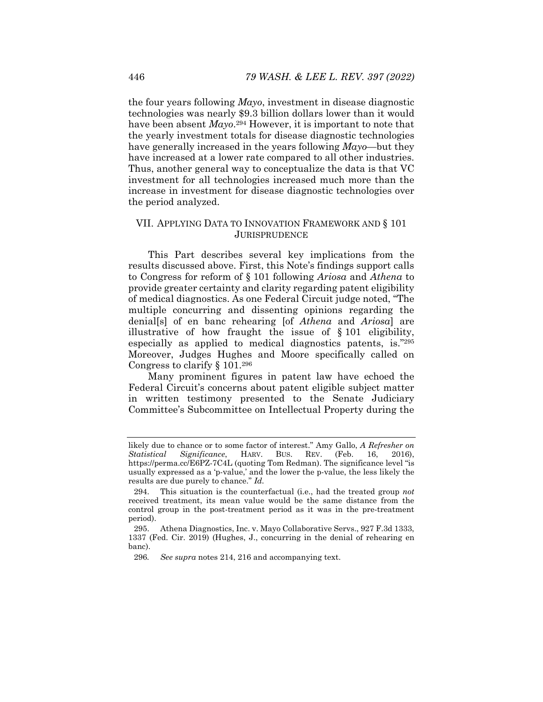the four years following *Mayo*, investment in disease diagnostic technologies was nearly \$9.3 billion dollars lower than it would have been absent *Mayo*. 294 However, it is important to note that the yearly investment totals for disease diagnostic technologies have generally increased in the years following *Mayo*—but they have increased at a lower rate compared to all other industries. Thus, another general way to conceptualize the data is that VC investment for all technologies increased much more than the increase in investment for disease diagnostic technologies over the period analyzed.

# VII. APPLYING DATA TO INNOVATION FRAMEWORK AND § 101 JURISPRUDENCE

This Part describes several key implications from the results discussed above. First, this Note's findings support calls to Congress for reform of § 101 following *Ariosa* and *Athena* to provide greater certainty and clarity regarding patent eligibility of medical diagnostics. As one Federal Circuit judge noted, "The multiple concurring and dissenting opinions regarding the denial[s] of en banc rehearing [of *Athena* and *Ariosa*] are illustrative of how fraught the issue of § 101 eligibility, especially as applied to medical diagnostics patents, is."295 Moreover, Judges Hughes and Moore specifically called on Congress to clarify § 101.296

Many prominent figures in patent law have echoed the Federal Circuit's concerns about patent eligible subject matter in written testimony presented to the Senate Judiciary Committee's Subcommittee on Intellectual Property during the

likely due to chance or to some factor of interest." Amy Gallo, *A Refresher on Statistical Significance*, HARV. BUS. REV. (Feb. 16, 2016), https://perma.cc/E6PZ-7C4L (quoting Tom Redman). The significance level "is usually expressed as a 'p-value,' and the lower the p-value, the less likely the results are due purely to chance." *Id.*

 <sup>294.</sup> This situation is the counterfactual (i.e., had the treated group *not* received treatment, its mean value would be the same distance from the control group in the post-treatment period as it was in the pre-treatment period).

 <sup>295.</sup> Athena Diagnostics, Inc. v. Mayo Collaborative Servs., 927 F.3d 1333, 1337 (Fed. Cir. 2019) (Hughes, J., concurring in the denial of rehearing en banc).

<sup>296</sup>*. See supra* notes 214, 216 and accompanying text.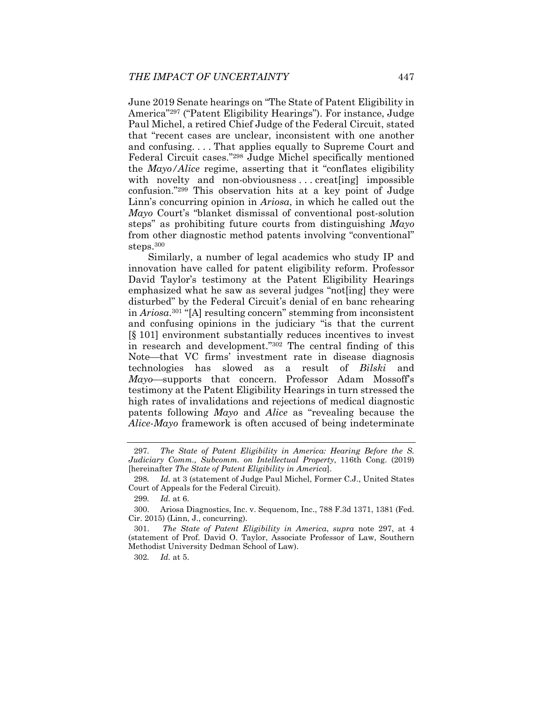June 2019 Senate hearings on "The State of Patent Eligibility in America"297 ("Patent Eligibility Hearings"). For instance, Judge Paul Michel, a retired Chief Judge of the Federal Circuit, stated that "recent cases are unclear, inconsistent with one another and confusing. . . . That applies equally to Supreme Court and Federal Circuit cases."298 Judge Michel specifically mentioned the *Mayo/Alice* regime, asserting that it "conflates eligibility with novelty and non-obviousness...creat[ing] impossible confusion."299 This observation hits at a key point of Judge Linn's concurring opinion in *Ariosa*, in which he called out the *Mayo* Court's "blanket dismissal of conventional post-solution steps" as prohibiting future courts from distinguishing *Mayo* from other diagnostic method patents involving "conventional" steps.300

Similarly, a number of legal academics who study IP and innovation have called for patent eligibility reform. Professor David Taylor's testimony at the Patent Eligibility Hearings emphasized what he saw as several judges "not[ing] they were disturbed" by the Federal Circuit's denial of en banc rehearing in *Ariosa*.301 "[A] resulting concern" stemming from inconsistent and confusing opinions in the judiciary "is that the current [§ 101] environment substantially reduces incentives to invest in research and development."302 The central finding of this Note—that VC firms' investment rate in disease diagnosis technologies has slowed as a result of *Bilski* and *Mayo*—supports that concern. Professor Adam Mossoff's testimony at the Patent Eligibility Hearings in turn stressed the high rates of invalidations and rejections of medical diagnostic patents following *Mayo* and *Alice* as "revealing because the *Alice-Mayo* framework is often accused of being indeterminate

<sup>297</sup>*. The State of Patent Eligibility in America: Hearing Before the S. Judiciary Comm., Subcomm. on Intellectual Property*, 116th Cong. (2019) [hereinafter *The State of Patent Eligibility in America*].

<sup>298</sup>*. Id.* at 3 (statement of Judge Paul Michel, Former C.J., United States Court of Appeals for the Federal Circuit).

<sup>299</sup>*. Id.* at 6.

 <sup>300.</sup> Ariosa Diagnostics, Inc. v. Sequenom, Inc., 788 F.3d 1371, 1381 (Fed. Cir. 2015) (Linn, J., concurring).

 <sup>301.</sup> *The State of Patent Eligibility in America*, *supra* note 297, at 4 (statement of Prof. David O. Taylor, Associate Professor of Law, Southern Methodist University Dedman School of Law).

<sup>302</sup>*. Id.* at 5.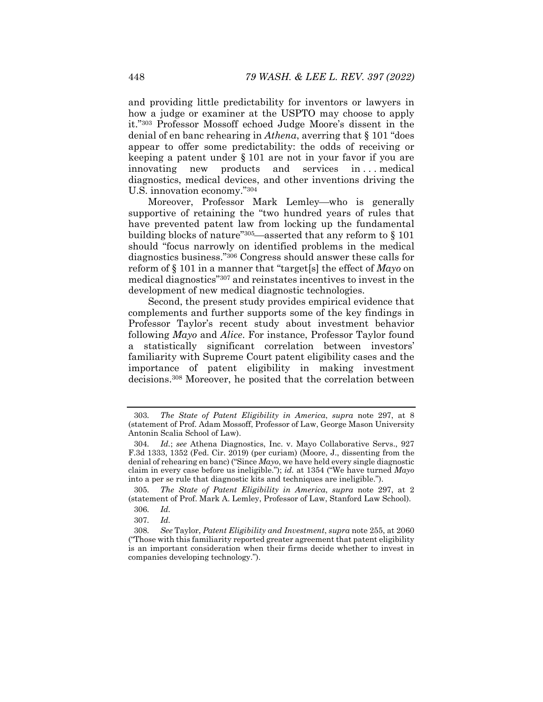and providing little predictability for inventors or lawyers in how a judge or examiner at the USPTO may choose to apply it."303 Professor Mossoff echoed Judge Moore's dissent in the denial of en banc rehearing in *Athena*, averring that § 101 "does appear to offer some predictability: the odds of receiving or keeping a patent under § 101 are not in your favor if you are innovating new products and services in . . . medical diagnostics, medical devices, and other inventions driving the U.S. innovation economy."304

Moreover, Professor Mark Lemley-who is generally supportive of retaining the "two hundred years of rules that have prevented patent law from locking up the fundamental building blocks of nature"<sup>305</sup>—asserted that any reform to  $\S 101$ should "focus narrowly on identified problems in the medical diagnostics business."306 Congress should answer these calls for reform of § 101 in a manner that "target[s] the effect of *Mayo* on medical diagnostics"307 and reinstates incentives to invest in the development of new medical diagnostic technologies.

Second, the present study provides empirical evidence that complements and further supports some of the key findings in Professor Taylor's recent study about investment behavior following *Mayo* and *Alice*. For instance, Professor Taylor found a statistically significant correlation between investors' familiarity with Supreme Court patent eligibility cases and the importance of patent eligibility in making investment decisions.308 Moreover, he posited that the correlation between

<sup>303</sup>*. The State of Patent Eligibility in America*, *supra* note 297, at 8 (statement of Prof. Adam Mossoff, Professor of Law, George Mason University Antonin Scalia School of Law).

<sup>304</sup>*. Id.*; *see* Athena Diagnostics, Inc. v. Mayo Collaborative Servs., 927 F.3d 1333, 1352 (Fed. Cir. 2019) (per curiam) (Moore, J., dissenting from the denial of rehearing en banc) ("Since *Mayo*, we have held every single diagnostic claim in every case before us ineligible."); *id.* at 1354 ("We have turned *Mayo* into a per se rule that diagnostic kits and techniques are ineligible.").

<sup>305</sup>*. The State of Patent Eligibility in America*, *supra* note 297, at 2 (statement of Prof. Mark A. Lemley, Professor of Law, Stanford Law School).

<sup>306</sup>*. Id.* 

<sup>307</sup>*. Id.*

<sup>308</sup>*. See* Taylor, *Patent Eligibility and Investment*, *supra* note 255, at 2060 ("Those with this familiarity reported greater agreement that patent eligibility is an important consideration when their firms decide whether to invest in companies developing technology.").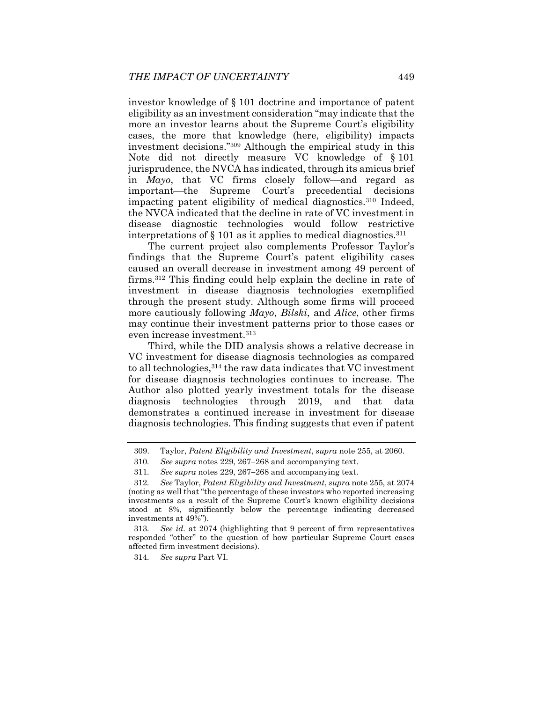investor knowledge of § 101 doctrine and importance of patent eligibility as an investment consideration "may indicate that the more an investor learns about the Supreme Court's eligibility cases, the more that knowledge (here, eligibility) impacts investment decisions."309 Although the empirical study in this Note did not directly measure VC knowledge of § 101 jurisprudence, the NVCA has indicated, through its amicus brief in *Mayo*, that VC firms closely follow—and regard as important—the Supreme Court's precedential decisions impacting patent eligibility of medical diagnostics.310 Indeed, the NVCA indicated that the decline in rate of VC investment in disease diagnostic technologies would follow restrictive interpretations of  $\S$  101 as it applies to medical diagnostics.<sup>311</sup>

The current project also complements Professor Taylor's findings that the Supreme Court's patent eligibility cases caused an overall decrease in investment among 49 percent of firms.312 This finding could help explain the decline in rate of investment in disease diagnosis technologies exemplified through the present study. Although some firms will proceed more cautiously following *Mayo*, *Bilski*, and *Alice*, other firms may continue their investment patterns prior to those cases or even increase investment.313

Third, while the DID analysis shows a relative decrease in VC investment for disease diagnosis technologies as compared to all technologies,314 the raw data indicates that VC investment for disease diagnosis technologies continues to increase. The Author also plotted yearly investment totals for the disease diagnosis technologies through 2019, and that data demonstrates a continued increase in investment for disease diagnosis technologies. This finding suggests that even if patent

314*. See supra* Part VI.

 <sup>309.</sup> Taylor, *Patent Eligibility and Investment*, *supra* note 255, at 2060.

<sup>310.</sup> See supra notes  $229, 267-268$  and accompanying text.

<sup>311.</sup> See supra notes 229, 267–268 and accompanying text.

<sup>312</sup>*. See* Taylor, *Patent Eligibility and Investment*, *supra* note 255, at 2074 (noting as well that "the percentage of these investors who reported increasing investments as a result of the Supreme Court's known eligibility decisions stood at 8%, significantly below the percentage indicating decreased investments at 49%").

<sup>313</sup>*. See id.* at 2074 (highlighting that 9 percent of firm representatives responded "other" to the question of how particular Supreme Court cases affected firm investment decisions).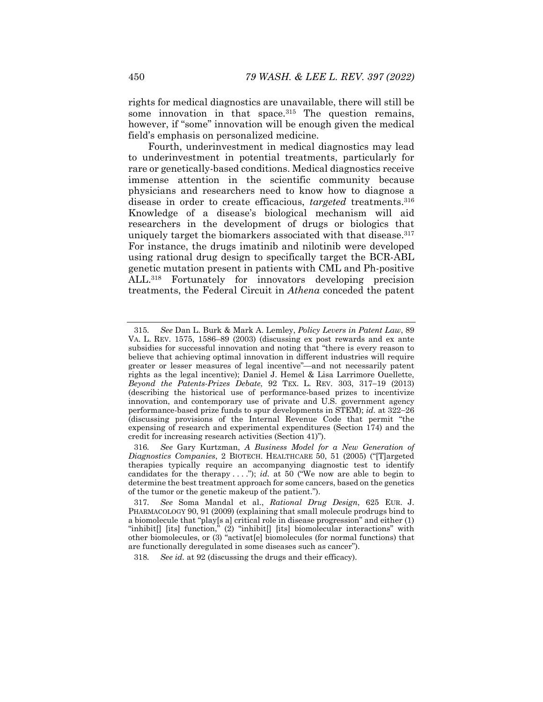rights for medical diagnostics are unavailable, there will still be some innovation in that space. $315$  The question remains, however, if "some" innovation will be enough given the medical field's emphasis on personalized medicine.

Fourth, underinvestment in medical diagnostics may lead to underinvestment in potential treatments, particularly for rare or genetically-based conditions. Medical diagnostics receive immense attention in the scientific community because physicians and researchers need to know how to diagnose a disease in order to create efficacious, *targeted* treatments.316 Knowledge of a disease's biological mechanism will aid researchers in the development of drugs or biologics that uniquely target the biomarkers associated with that disease.<sup>317</sup> For instance, the drugs imatinib and nilotinib were developed using rational drug design to specifically target the BCR-ABL genetic mutation present in patients with CML and Ph-positive ALL.318 Fortunately for innovators developing precision treatments, the Federal Circuit in *Athena* conceded the patent

<sup>315</sup>*. See* Dan L. Burk & Mark A. Lemley, *Policy Levers in Patent Law*, 89 VA. L. REV. 1575, 1586–89 (2003) (discussing ex post rewards and ex ante subsidies for successful innovation and noting that "there is every reason to believe that achieving optimal innovation in different industries will require greater or lesser measures of legal incentive"-and not necessarily patent rights as the legal incentive); Daniel J. Hemel & Lisa Larrimore Ouellette, *Beyond the Patents-Prizes Debate*, 92 TEX. L. REV. 303, 317-19 (2013) (describing the historical use of performance-based prizes to incentivize innovation, and contemporary use of private and U.S. government agency performance-based prize funds to spur developments in STEM); *id.* at  $322-26$ (discussing provisions of the Internal Revenue Code that permit "the expensing of research and experimental expenditures (Section 174) and the credit for increasing research activities (Section 41)").

<sup>316</sup>*. See* Gary Kurtzman, *A Business Model for a New Generation of Diagnostics Companies*, 2 BIOTECH. HEALTHCARE 50, 51 (2005) ("[T]argeted therapies typically require an accompanying diagnostic test to identify candidates for the therapy  $\dots$ "); *id.* at 50 ("We now are able to begin to determine the best treatment approach for some cancers, based on the genetics of the tumor or the genetic makeup of the patient.").

<sup>317</sup>*. See* Soma Mandal et al., *Rational Drug Design*, 625 EUR. J. PHARMACOLOGY 90, 91 (2009) (explaining that small molecule prodrugs bind to a biomolecule that "play[s a] critical role in disease progression" and either  $(1)$ "inhibit[] [its] function," (2) "inhibit[] [its] biomolecular interactions" with other biomolecules, or (3) "activat[e] biomolecules (for normal functions) that are functionally deregulated in some diseases such as cancer").

<sup>318</sup>*. See id.* at 92 (discussing the drugs and their efficacy).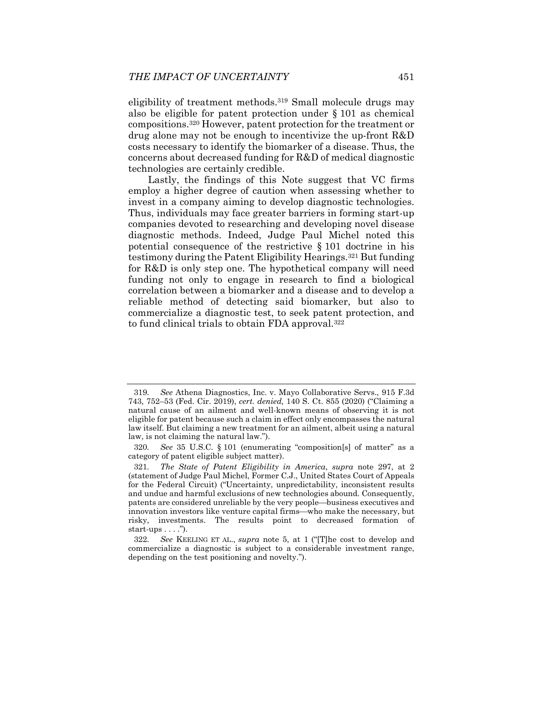eligibility of treatment methods.<sup>319</sup> Small molecule drugs may also be eligible for patent protection under § 101 as chemical compositions.320 However, patent protection for the treatment or drug alone may not be enough to incentivize the up-front R&D costs necessary to identify the biomarker of a disease. Thus, the concerns about decreased funding for R&D of medical diagnostic technologies are certainly credible.

Lastly, the findings of this Note suggest that VC firms employ a higher degree of caution when assessing whether to invest in a company aiming to develop diagnostic technologies. Thus, individuals may face greater barriers in forming start-up companies devoted to researching and developing novel disease diagnostic methods. Indeed, Judge Paul Michel noted this potential consequence of the restrictive § 101 doctrine in his testimony during the Patent Eligibility Hearings.321 But funding for R&D is only step one. The hypothetical company will need funding not only to engage in research to find a biological correlation between a biomarker and a disease and to develop a reliable method of detecting said biomarker, but also to commercialize a diagnostic test, to seek patent protection, and to fund clinical trials to obtain FDA approval.322

<sup>319</sup>*. See* Athena Diagnostics, Inc. v. Mayo Collaborative Servs., 915 F.3d 743, 752–53 (Fed. Cir. 2019), *cert. denied,* 140 S. Ct. 855 (2020) ("Claiming a natural cause of an ailment and well-known means of observing it is not eligible for patent because such a claim in effect only encompasses the natural law itself. But claiming a new treatment for an ailment, albeit using a natural law, is not claiming the natural law.").

<sup>320</sup>*. See* 35 U.S.C. § 101 (enumerating "composition[s] of matter" as a category of patent eligible subject matter).

<sup>321</sup>*. The State of Patent Eligibility in America*, *supra* note 297, at 2 (statement of Judge Paul Michel, Former C.J., United States Court of Appeals for the Federal Circuit) ("Uncertainty, unpredictability, inconsistent results and undue and harmful exclusions of new technologies abound. Consequently, patents are considered unreliable by the very people—business executives and innovation investors like venture capital firms—who make the necessary, but risky, investments. The results point to decreased formation of start-ups  $\dots$ .").

<sup>322</sup>*. See* KEELING ET AL., *supra* note 5, at 1 ("[T]he cost to develop and commercialize a diagnostic is subject to a considerable investment range, depending on the test positioning and novelty.").